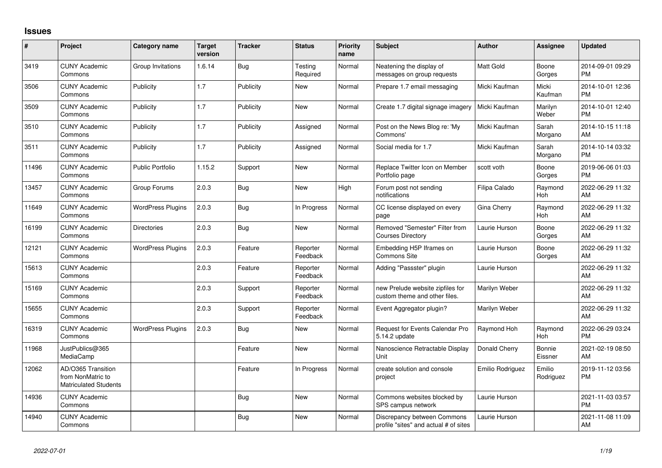## **Issues**

| #     | Project                                                                 | <b>Category name</b>     | <b>Target</b><br>version | <b>Tracker</b> | <b>Status</b>        | <b>Priority</b><br>name | <b>Subject</b>                                                       | <b>Author</b>    | Assignee            | <b>Updated</b>                |
|-------|-------------------------------------------------------------------------|--------------------------|--------------------------|----------------|----------------------|-------------------------|----------------------------------------------------------------------|------------------|---------------------|-------------------------------|
| 3419  | <b>CUNY Academic</b><br>Commons                                         | Group Invitations        | 1.6.14                   | Bug            | Testing<br>Required  | Normal                  | Neatening the display of<br>messages on group requests               | Matt Gold        | Boone<br>Gorges     | 2014-09-01 09:29<br><b>PM</b> |
| 3506  | <b>CUNY Academic</b><br>Commons                                         | Publicity                | 1.7                      | Publicity      | New                  | Normal                  | Prepare 1.7 email messaging                                          | Micki Kaufman    | Micki<br>Kaufman    | 2014-10-01 12:36<br><b>PM</b> |
| 3509  | <b>CUNY Academic</b><br>Commons                                         | Publicity                | 1.7                      | Publicity      | <b>New</b>           | Normal                  | Create 1.7 digital signage imagery                                   | Micki Kaufman    | Marilyn<br>Weber    | 2014-10-01 12:40<br><b>PM</b> |
| 3510  | <b>CUNY Academic</b><br>Commons                                         | Publicity                | 1.7                      | Publicity      | Assigned             | Normal                  | Post on the News Blog re: 'My<br>Commons'                            | Micki Kaufman    | Sarah<br>Morgano    | 2014-10-15 11:18<br>AM        |
| 3511  | <b>CUNY Academic</b><br>Commons                                         | Publicity                | 1.7                      | Publicity      | Assigned             | Normal                  | Social media for 1.7                                                 | Micki Kaufman    | Sarah<br>Morgano    | 2014-10-14 03:32<br><b>PM</b> |
| 11496 | <b>CUNY Academic</b><br>Commons                                         | <b>Public Portfolio</b>  | 1.15.2                   | Support        | New                  | Normal                  | Replace Twitter Icon on Member<br>Portfolio page                     | scott voth       | Boone<br>Gorges     | 2019-06-06 01:03<br><b>PM</b> |
| 13457 | <b>CUNY Academic</b><br>Commons                                         | Group Forums             | 2.0.3                    | <b>Bug</b>     | New                  | High                    | Forum post not sending<br>notifications                              | Filipa Calado    | Raymond<br>Hoh      | 2022-06-29 11:32<br>AM        |
| 11649 | <b>CUNY Academic</b><br>Commons                                         | <b>WordPress Plugins</b> | 2.0.3                    | Bug            | In Progress          | Normal                  | CC license displayed on every<br>page                                | Gina Cherry      | Raymond<br>Hoh      | 2022-06-29 11:32<br>AM        |
| 16199 | <b>CUNY Academic</b><br>Commons                                         | <b>Directories</b>       | 2.0.3                    | Bug            | <b>New</b>           | Normal                  | Removed "Semester" Filter from<br><b>Courses Directory</b>           | Laurie Hurson    | Boone<br>Gorges     | 2022-06-29 11:32<br>AM        |
| 12121 | <b>CUNY Academic</b><br>Commons                                         | <b>WordPress Plugins</b> | 2.0.3                    | Feature        | Reporter<br>Feedback | Normal                  | Embedding H5P Iframes on<br>Commons Site                             | Laurie Hurson    | Boone<br>Gorges     | 2022-06-29 11:32<br>AM        |
| 15613 | <b>CUNY Academic</b><br>Commons                                         |                          | 2.0.3                    | Feature        | Reporter<br>Feedback | Normal                  | Adding "Passster" plugin                                             | Laurie Hurson    |                     | 2022-06-29 11:32<br>AM        |
| 15169 | <b>CUNY Academic</b><br>Commons                                         |                          | 2.0.3                    | Support        | Reporter<br>Feedback | Normal                  | new Prelude website zipfiles for<br>custom theme and other files.    | Marilyn Weber    |                     | 2022-06-29 11:32<br>AM        |
| 15655 | <b>CUNY Academic</b><br>Commons                                         |                          | 2.0.3                    | Support        | Reporter<br>Feedback | Normal                  | Event Aggregator plugin?                                             | Marilyn Weber    |                     | 2022-06-29 11:32<br>AM        |
| 16319 | <b>CUNY Academic</b><br>Commons                                         | <b>WordPress Plugins</b> | 2.0.3                    | Bug            | <b>New</b>           | Normal                  | Request for Events Calendar Pro<br>5.14.2 update                     | Raymond Hoh      | Raymond<br>Hoh      | 2022-06-29 03:24<br><b>PM</b> |
| 11968 | JustPublics@365<br>MediaCamp                                            |                          |                          | Feature        | New                  | Normal                  | Nanoscience Retractable Display<br>Unit                              | Donald Cherry    | Bonnie<br>Eissner   | 2021-02-19 08:50<br>AM        |
| 12062 | AD/O365 Transition<br>from NonMatric to<br><b>Matriculated Students</b> |                          |                          | Feature        | In Progress          | Normal                  | create solution and console<br>project                               | Emilio Rodriguez | Emilio<br>Rodriguez | 2019-11-12 03:56<br><b>PM</b> |
| 14936 | <b>CUNY Academic</b><br>Commons                                         |                          |                          | Bug            | <b>New</b>           | Normal                  | Commons websites blocked by<br>SPS campus network                    | Laurie Hurson    |                     | 2021-11-03 03:57<br><b>PM</b> |
| 14940 | <b>CUNY Academic</b><br>Commons                                         |                          |                          | <b>Bug</b>     | <b>New</b>           | Normal                  | Discrepancy between Commons<br>profile "sites" and actual # of sites | Laurie Hurson    |                     | 2021-11-08 11:09<br>AM        |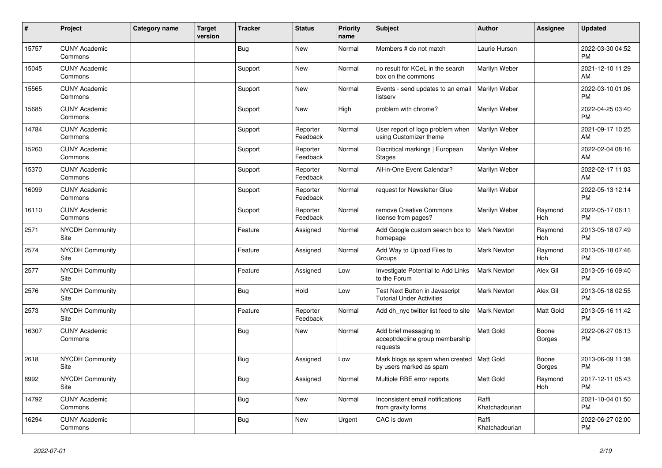| #     | Project                         | <b>Category name</b> | <b>Target</b><br>version | <b>Tracker</b> | <b>Status</b>        | <b>Priority</b><br>name | <b>Subject</b>                                                            | <b>Author</b>           | <b>Assignee</b> | <b>Updated</b>                |
|-------|---------------------------------|----------------------|--------------------------|----------------|----------------------|-------------------------|---------------------------------------------------------------------------|-------------------------|-----------------|-------------------------------|
| 15757 | <b>CUNY Academic</b><br>Commons |                      |                          | <b>Bug</b>     | New                  | Normal                  | Members # do not match                                                    | Laurie Hurson           |                 | 2022-03-30 04:52<br><b>PM</b> |
| 15045 | <b>CUNY Academic</b><br>Commons |                      |                          | Support        | New                  | Normal                  | no result for KCeL in the search<br>box on the commons                    | Marilyn Weber           |                 | 2021-12-10 11:29<br>AM        |
| 15565 | <b>CUNY Academic</b><br>Commons |                      |                          | Support        | <b>New</b>           | Normal                  | Events - send updates to an email<br>listserv                             | Marilyn Weber           |                 | 2022-03-10 01:06<br><b>PM</b> |
| 15685 | <b>CUNY Academic</b><br>Commons |                      |                          | Support        | New                  | High                    | problem with chrome?                                                      | Marilyn Weber           |                 | 2022-04-25 03:40<br><b>PM</b> |
| 14784 | <b>CUNY Academic</b><br>Commons |                      |                          | Support        | Reporter<br>Feedback | Normal                  | User report of logo problem when<br>using Customizer theme                | Marilyn Weber           |                 | 2021-09-17 10:25<br><b>AM</b> |
| 15260 | <b>CUNY Academic</b><br>Commons |                      |                          | Support        | Reporter<br>Feedback | Normal                  | Diacritical markings   European<br><b>Stages</b>                          | Marilyn Weber           |                 | 2022-02-04 08:16<br>AM        |
| 15370 | <b>CUNY Academic</b><br>Commons |                      |                          | Support        | Reporter<br>Feedback | Normal                  | All-in-One Event Calendar?                                                | Marilyn Weber           |                 | 2022-02-17 11:03<br>AM        |
| 16099 | <b>CUNY Academic</b><br>Commons |                      |                          | Support        | Reporter<br>Feedback | Normal                  | request for Newsletter Glue                                               | Marilyn Weber           |                 | 2022-05-13 12:14<br><b>PM</b> |
| 16110 | <b>CUNY Academic</b><br>Commons |                      |                          | Support        | Reporter<br>Feedback | Normal                  | remove Creative Commons<br>license from pages?                            | Marilyn Weber           | Raymond<br>Hoh  | 2022-05-17 06:11<br><b>PM</b> |
| 2571  | <b>NYCDH Community</b><br>Site  |                      |                          | Feature        | Assigned             | Normal                  | Add Google custom search box to<br>homepage                               | <b>Mark Newton</b>      | Raymond<br>Hoh  | 2013-05-18 07:49<br><b>PM</b> |
| 2574  | <b>NYCDH Community</b><br>Site  |                      |                          | Feature        | Assigned             | Normal                  | Add Way to Upload Files to<br>Groups                                      | Mark Newton             | Raymond<br>Hoh  | 2013-05-18 07:46<br><b>PM</b> |
| 2577  | <b>NYCDH Community</b><br>Site  |                      |                          | Feature        | Assigned             | Low                     | <b>Investigate Potential to Add Links</b><br>to the Forum                 | <b>Mark Newton</b>      | Alex Gil        | 2013-05-16 09:40<br><b>PM</b> |
| 2576  | <b>NYCDH Community</b><br>Site  |                      |                          | Bug            | Hold                 | Low                     | <b>Test Next Button in Javascript</b><br><b>Tutorial Under Activities</b> | <b>Mark Newton</b>      | Alex Gil        | 2013-05-18 02:55<br><b>PM</b> |
| 2573  | <b>NYCDH Community</b><br>Site  |                      |                          | Feature        | Reporter<br>Feedback | Normal                  | Add dh nyc twitter list feed to site                                      | Mark Newton             | Matt Gold       | 2013-05-16 11:42<br><b>PM</b> |
| 16307 | <b>CUNY Academic</b><br>Commons |                      |                          | <b>Bug</b>     | New                  | Normal                  | Add brief messaging to<br>accept/decline group membership<br>requests     | Matt Gold               | Boone<br>Gorges | 2022-06-27 06:13<br><b>PM</b> |
| 2618  | <b>NYCDH Community</b><br>Site  |                      |                          | <b>Bug</b>     | Assigned             | Low                     | Mark blogs as spam when created<br>by users marked as spam                | Matt Gold               | Boone<br>Gorges | 2013-06-09 11:38<br><b>PM</b> |
| 8992  | <b>NYCDH Community</b><br>Site  |                      |                          | <b>Bug</b>     | Assigned             | Normal                  | Multiple RBE error reports                                                | Matt Gold               | Raymond<br>Hoh  | 2017-12-11 05:43<br><b>PM</b> |
| 14792 | <b>CUNY Academic</b><br>Commons |                      |                          | Bug            | <b>New</b>           | Normal                  | Inconsistent email notifications<br>from gravity forms                    | Raffi<br>Khatchadourian |                 | 2021-10-04 01:50<br><b>PM</b> |
| 16294 | <b>CUNY Academic</b><br>Commons |                      |                          | Bug            | <b>New</b>           | Urgent                  | CAC is down                                                               | Raffi<br>Khatchadourian |                 | 2022-06-27 02:00<br>PM        |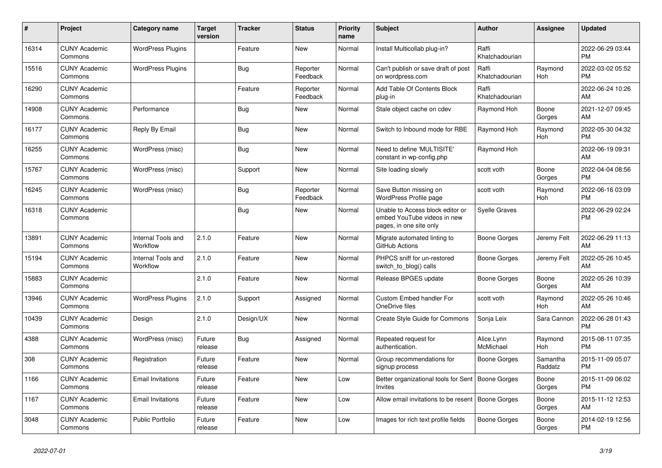| #     | Project                         | <b>Category name</b>           | <b>Target</b><br>version | <b>Tracker</b> | <b>Status</b>        | <b>Priority</b><br>name | <b>Subject</b>                                                                             | <b>Author</b>           | <b>Assignee</b>     | <b>Updated</b>                |
|-------|---------------------------------|--------------------------------|--------------------------|----------------|----------------------|-------------------------|--------------------------------------------------------------------------------------------|-------------------------|---------------------|-------------------------------|
| 16314 | <b>CUNY Academic</b><br>Commons | <b>WordPress Plugins</b>       |                          | Feature        | New                  | Normal                  | Install Multicollab plug-in?                                                               | Raffi<br>Khatchadourian |                     | 2022-06-29 03:44<br><b>PM</b> |
| 15516 | <b>CUNY Academic</b><br>Commons | <b>WordPress Plugins</b>       |                          | Bug            | Reporter<br>Feedback | Normal                  | Can't publish or save draft of post<br>on wordpress.com                                    | Raffi<br>Khatchadourian | Raymond<br>Hoh      | 2022-03-02 05:52<br><b>PM</b> |
| 16290 | <b>CUNY Academic</b><br>Commons |                                |                          | Feature        | Reporter<br>Feedback | Normal                  | Add Table Of Contents Block<br>plug-in                                                     | Raffi<br>Khatchadourian |                     | 2022-06-24 10:26<br><b>AM</b> |
| 14908 | <b>CUNY Academic</b><br>Commons | Performance                    |                          | Bug            | <b>New</b>           | Normal                  | Stale object cache on cdev                                                                 | Raymond Hoh             | Boone<br>Gorges     | 2021-12-07 09:45<br>AM        |
| 16177 | <b>CUNY Academic</b><br>Commons | Reply By Email                 |                          | Bug            | New                  | Normal                  | Switch to Inbound mode for RBE                                                             | Raymond Hoh             | Raymond<br>Hoh      | 2022-05-30 04:32<br><b>PM</b> |
| 16255 | <b>CUNY Academic</b><br>Commons | WordPress (misc)               |                          | Bug            | New                  | Normal                  | Need to define 'MULTISITE'<br>constant in wp-config.php                                    | Raymond Hoh             |                     | 2022-06-19 09:31<br><b>AM</b> |
| 15767 | <b>CUNY Academic</b><br>Commons | WordPress (misc)               |                          | Support        | <b>New</b>           | Normal                  | Site loading slowly                                                                        | scott voth              | Boone<br>Gorges     | 2022-04-04 08:56<br><b>PM</b> |
| 16245 | <b>CUNY Academic</b><br>Commons | WordPress (misc)               |                          | Bug            | Reporter<br>Feedback | Normal                  | Save Button missing on<br><b>WordPress Profile page</b>                                    | scott voth              | Raymond<br>Hoh      | 2022-06-16 03:09<br><b>PM</b> |
| 16318 | <b>CUNY Academic</b><br>Commons |                                |                          | Bug            | New                  | Normal                  | Unable to Access block editor or<br>embed YouTube videos in new<br>pages, in one site only | <b>Syelle Graves</b>    |                     | 2022-06-29 02:24<br><b>PM</b> |
| 13891 | <b>CUNY Academic</b><br>Commons | Internal Tools and<br>Workflow | 2.1.0                    | Feature        | <b>New</b>           | Normal                  | Migrate automated linting to<br>GitHub Actions                                             | Boone Gorges            | Jeremy Felt         | 2022-06-29 11:13<br>AM        |
| 15194 | <b>CUNY Academic</b><br>Commons | Internal Tools and<br>Workflow | 2.1.0                    | Feature        | New                  | Normal                  | PHPCS sniff for un-restored<br>switch_to_blog() calls                                      | Boone Gorges            | Jeremy Felt         | 2022-05-26 10:45<br>AM        |
| 15883 | <b>CUNY Academic</b><br>Commons |                                | 2.1.0                    | Feature        | <b>New</b>           | Normal                  | Release BPGES update                                                                       | Boone Gorges            | Boone<br>Gorges     | 2022-05-26 10:39<br>AM.       |
| 13946 | <b>CUNY Academic</b><br>Commons | <b>WordPress Plugins</b>       | 2.1.0                    | Support        | Assigned             | Normal                  | <b>Custom Embed handler For</b><br>OneDrive files                                          | scott voth              | Raymond<br>Hoh      | 2022-05-26 10:46<br>AM        |
| 10439 | <b>CUNY Academic</b><br>Commons | Design                         | 2.1.0                    | Design/UX      | New                  | Normal                  | Create Style Guide for Commons                                                             | Sonja Leix              | Sara Cannon         | 2022-06-28 01:43<br><b>PM</b> |
| 4388  | <b>CUNY Academic</b><br>Commons | WordPress (misc)               | Future<br>release        | Bug            | Assigned             | Normal                  | Repeated request for<br>authentication.                                                    | Alice.Lynn<br>McMichael | Raymond<br>Hoh      | 2015-08-11 07:35<br><b>PM</b> |
| 308   | <b>CUNY Academic</b><br>Commons | Registration                   | Future<br>release        | Feature        | New                  | Normal                  | Group recommendations for<br>signup process                                                | Boone Gorges            | Samantha<br>Raddatz | 2015-11-09 05:07<br><b>PM</b> |
| 1166  | <b>CUNY Academic</b><br>Commons | <b>Email Invitations</b>       | Future<br>release        | Feature        | <b>New</b>           | Low                     | Better organizational tools for Sent   Boone Gorges<br><b>Invites</b>                      |                         | Boone<br>Gorges     | 2015-11-09 06:02<br><b>PM</b> |
| 1167  | <b>CUNY Academic</b><br>Commons | <b>Email Invitations</b>       | Future<br>release        | Feature        | New                  | Low                     | Allow email invitations to be resent                                                       | Boone Gorges            | Boone<br>Gorges     | 2015-11-12 12:53<br>AM        |
| 3048  | <b>CUNY Academic</b><br>Commons | Public Portfolio               | Future<br>release        | Feature        | <b>New</b>           | Low                     | Images for rich text profile fields                                                        | Boone Gorges            | Boone<br>Gorges     | 2014-02-19 12:56<br><b>PM</b> |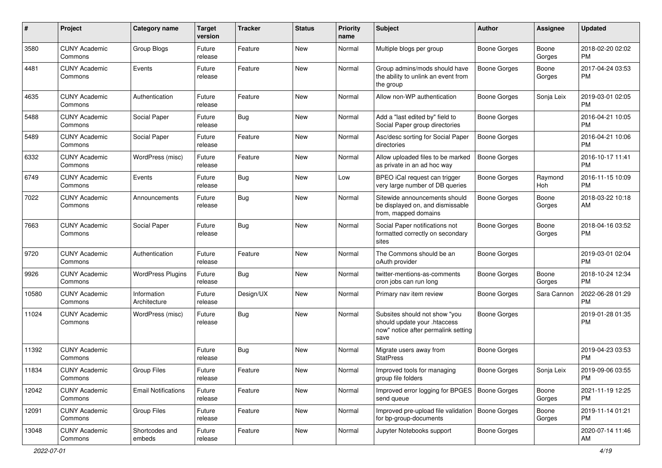| $\#$  | Project                         | <b>Category name</b>        | <b>Target</b><br>version | <b>Tracker</b> | <b>Status</b> | <b>Priority</b><br>name | <b>Subject</b>                                                                                               | Author              | <b>Assignee</b> | <b>Updated</b>                |
|-------|---------------------------------|-----------------------------|--------------------------|----------------|---------------|-------------------------|--------------------------------------------------------------------------------------------------------------|---------------------|-----------------|-------------------------------|
| 3580  | <b>CUNY Academic</b><br>Commons | Group Blogs                 | Future<br>release        | Feature        | <b>New</b>    | Normal                  | Multiple blogs per group                                                                                     | <b>Boone Gorges</b> | Boone<br>Gorges | 2018-02-20 02:02<br><b>PM</b> |
| 4481  | <b>CUNY Academic</b><br>Commons | Events                      | Future<br>release        | Feature        | New           | Normal                  | Group admins/mods should have<br>the ability to unlink an event from<br>the group                            | <b>Boone Gorges</b> | Boone<br>Gorges | 2017-04-24 03:53<br><b>PM</b> |
| 4635  | <b>CUNY Academic</b><br>Commons | Authentication              | Future<br>release        | Feature        | New           | Normal                  | Allow non-WP authentication                                                                                  | <b>Boone Gorges</b> | Sonja Leix      | 2019-03-01 02:05<br><b>PM</b> |
| 5488  | <b>CUNY Academic</b><br>Commons | Social Paper                | Future<br>release        | Bug            | <b>New</b>    | Normal                  | Add a "last edited by" field to<br>Social Paper group directories                                            | <b>Boone Gorges</b> |                 | 2016-04-21 10:05<br><b>PM</b> |
| 5489  | <b>CUNY Academic</b><br>Commons | Social Paper                | Future<br>release        | Feature        | <b>New</b>    | Normal                  | Asc/desc sorting for Social Paper<br>directories                                                             | <b>Boone Gorges</b> |                 | 2016-04-21 10:06<br><b>PM</b> |
| 6332  | <b>CUNY Academic</b><br>Commons | WordPress (misc)            | Future<br>release        | Feature        | <b>New</b>    | Normal                  | Allow uploaded files to be marked<br>as private in an ad hoc way                                             | <b>Boone Gorges</b> |                 | 2016-10-17 11:41<br><b>PM</b> |
| 6749  | <b>CUNY Academic</b><br>Commons | Events                      | Future<br>release        | Bug            | New           | Low                     | BPEO iCal request can trigger<br>very large number of DB queries                                             | <b>Boone Gorges</b> | Raymond<br>Hoh  | 2016-11-15 10:09<br><b>PM</b> |
| 7022  | <b>CUNY Academic</b><br>Commons | Announcements               | Future<br>release        | <b>Bug</b>     | <b>New</b>    | Normal                  | Sitewide announcements should<br>be displayed on, and dismissable<br>from, mapped domains                    | <b>Boone Gorges</b> | Boone<br>Gorges | 2018-03-22 10:18<br>AM        |
| 7663  | <b>CUNY Academic</b><br>Commons | Social Paper                | Future<br>release        | <b>Bug</b>     | <b>New</b>    | Normal                  | Social Paper notifications not<br>formatted correctly on secondary<br>sites                                  | Boone Gorges        | Boone<br>Gorges | 2018-04-16 03:52<br><b>PM</b> |
| 9720  | <b>CUNY Academic</b><br>Commons | Authentication              | Future<br>release        | Feature        | <b>New</b>    | Normal                  | The Commons should be an<br>oAuth provider                                                                   | <b>Boone Gorges</b> |                 | 2019-03-01 02:04<br><b>PM</b> |
| 9926  | <b>CUNY Academic</b><br>Commons | <b>WordPress Plugins</b>    | Future<br>release        | Bug            | <b>New</b>    | Normal                  | twitter-mentions-as-comments<br>cron jobs can run long                                                       | <b>Boone Gorges</b> | Boone<br>Gorges | 2018-10-24 12:34<br><b>PM</b> |
| 10580 | <b>CUNY Academic</b><br>Commons | Information<br>Architecture | Future<br>release        | Design/UX      | <b>New</b>    | Normal                  | Primary nav item review                                                                                      | <b>Boone Gorges</b> | Sara Cannon     | 2022-06-28 01:29<br><b>PM</b> |
| 11024 | <b>CUNY Academic</b><br>Commons | WordPress (misc)            | Future<br>release        | Bug            | New           | Normal                  | Subsites should not show "you<br>should update your .htaccess<br>now" notice after permalink setting<br>save | <b>Boone Gorges</b> |                 | 2019-01-28 01:35<br><b>PM</b> |
| 11392 | <b>CUNY Academic</b><br>Commons |                             | Future<br>release        | Bug            | <b>New</b>    | Normal                  | Migrate users away from<br><b>StatPress</b>                                                                  | <b>Boone Gorges</b> |                 | 2019-04-23 03:53<br><b>PM</b> |
| 11834 | <b>CUNY Academic</b><br>Commons | <b>Group Files</b>          | Future<br>release        | Feature        | New           | Normal                  | Improved tools for managing<br>group file folders                                                            | <b>Boone Gorges</b> | Sonja Leix      | 2019-09-06 03:55<br>PM        |
| 12042 | <b>CUNY Academic</b><br>Commons | <b>Email Notifications</b>  | Future<br>release        | Feature        | New           | Normal                  | Improved error logging for BPGES   Boone Gorges<br>send queue                                                |                     | Boone<br>Gorges | 2021-11-19 12:25<br><b>PM</b> |
| 12091 | <b>CUNY Academic</b><br>Commons | Group Files                 | Future<br>release        | Feature        | New           | Normal                  | Improved pre-upload file validation   Boone Gorges<br>for bp-group-documents                                 |                     | Boone<br>Gorges | 2019-11-14 01:21<br><b>PM</b> |
| 13048 | <b>CUNY Academic</b><br>Commons | Shortcodes and<br>embeds    | Future<br>release        | Feature        | New           | Normal                  | Jupyter Notebooks support                                                                                    | <b>Boone Gorges</b> |                 | 2020-07-14 11:46<br>AM        |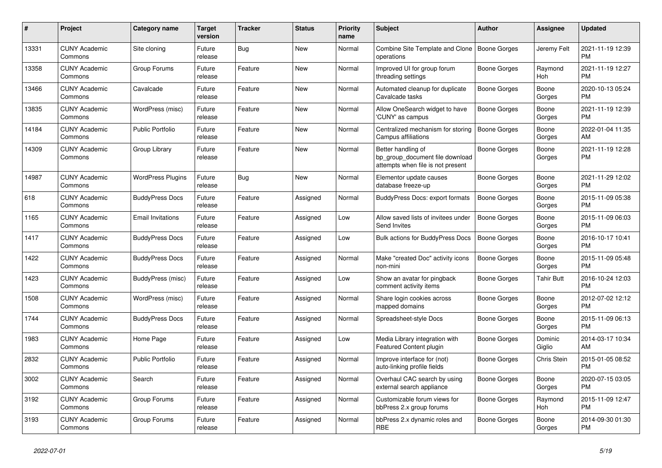| #     | <b>Project</b>                  | Category name            | Target<br>version | <b>Tracker</b> | <b>Status</b> | <b>Priority</b><br>name | <b>Subject</b>                                                                             | <b>Author</b>       | Assignee          | <b>Updated</b>                |
|-------|---------------------------------|--------------------------|-------------------|----------------|---------------|-------------------------|--------------------------------------------------------------------------------------------|---------------------|-------------------|-------------------------------|
| 13331 | <b>CUNY Academic</b><br>Commons | Site cloning             | Future<br>release | Bug            | New           | Normal                  | Combine Site Template and Clone<br>operations                                              | Boone Gorges        | Jeremy Felt       | 2021-11-19 12:39<br><b>PM</b> |
| 13358 | <b>CUNY Academic</b><br>Commons | Group Forums             | Future<br>release | Feature        | New           | Normal                  | Improved UI for group forum<br>threading settings                                          | Boone Gorges        | Raymond<br>Hoh    | 2021-11-19 12:27<br><b>PM</b> |
| 13466 | <b>CUNY Academic</b><br>Commons | Cavalcade                | Future<br>release | Feature        | New           | Normal                  | Automated cleanup for duplicate<br>Cavalcade tasks                                         | Boone Gorges        | Boone<br>Gorges   | 2020-10-13 05:24<br><b>PM</b> |
| 13835 | <b>CUNY Academic</b><br>Commons | WordPress (misc)         | Future<br>release | Feature        | <b>New</b>    | Normal                  | Allow OneSearch widget to have<br>'CUNY' as campus                                         | Boone Gorges        | Boone<br>Gorges   | 2021-11-19 12:39<br><b>PM</b> |
| 14184 | <b>CUNY Academic</b><br>Commons | <b>Public Portfolio</b>  | Future<br>release | Feature        | New           | Normal                  | Centralized mechanism for storing<br>Campus affiliations                                   | <b>Boone Gorges</b> | Boone<br>Gorges   | 2022-01-04 11:35<br>AM        |
| 14309 | <b>CUNY Academic</b><br>Commons | Group Library            | Future<br>release | Feature        | New           | Normal                  | Better handling of<br>bp_group_document file download<br>attempts when file is not present | Boone Gorges        | Boone<br>Gorges   | 2021-11-19 12:28<br><b>PM</b> |
| 14987 | <b>CUNY Academic</b><br>Commons | <b>WordPress Plugins</b> | Future<br>release | Bug            | <b>New</b>    | Normal                  | Elementor update causes<br>database freeze-up                                              | Boone Gorges        | Boone<br>Gorges   | 2021-11-29 12:02<br><b>PM</b> |
| 618   | <b>CUNY Academic</b><br>Commons | <b>BuddyPress Docs</b>   | Future<br>release | Feature        | Assigned      | Normal                  | BuddyPress Docs: export formats                                                            | <b>Boone Gorges</b> | Boone<br>Gorges   | 2015-11-09 05:38<br><b>PM</b> |
| 1165  | <b>CUNY Academic</b><br>Commons | <b>Email Invitations</b> | Future<br>release | Feature        | Assigned      | Low                     | Allow saved lists of invitees under<br><b>Send Invites</b>                                 | Boone Gorges        | Boone<br>Gorges   | 2015-11-09 06:03<br>PM.       |
| 1417  | <b>CUNY Academic</b><br>Commons | <b>BuddyPress Docs</b>   | Future<br>release | Feature        | Assigned      | Low                     | Bulk actions for BuddyPress Docs                                                           | <b>Boone Gorges</b> | Boone<br>Gorges   | 2016-10-17 10:41<br><b>PM</b> |
| 1422  | <b>CUNY Academic</b><br>Commons | <b>BuddyPress Docs</b>   | Future<br>release | Feature        | Assigned      | Normal                  | Make "created Doc" activity icons<br>non-mini                                              | <b>Boone Gorges</b> | Boone<br>Gorges   | 2015-11-09 05:48<br><b>PM</b> |
| 1423  | <b>CUNY Academic</b><br>Commons | BuddyPress (misc)        | Future<br>release | Feature        | Assigned      | Low                     | Show an avatar for pingback<br>comment activity items                                      | Boone Gorges        | Tahir Butt        | 2016-10-24 12:03<br><b>PM</b> |
| 1508  | <b>CUNY Academic</b><br>Commons | WordPress (misc)         | Future<br>release | Feature        | Assigned      | Normal                  | Share login cookies across<br>mapped domains                                               | Boone Gorges        | Boone<br>Gorges   | 2012-07-02 12:12<br><b>PM</b> |
| 1744  | <b>CUNY Academic</b><br>Commons | <b>BuddyPress Docs</b>   | Future<br>release | Feature        | Assigned      | Normal                  | Spreadsheet-style Docs                                                                     | Boone Gorges        | Boone<br>Gorges   | 2015-11-09 06:13<br><b>PM</b> |
| 1983  | <b>CUNY Academic</b><br>Commons | Home Page                | Future<br>release | Feature        | Assigned      | Low                     | Media Library integration with<br><b>Featured Content plugin</b>                           | Boone Gorges        | Dominic<br>Giglio | 2014-03-17 10:34<br>AM        |
| 2832  | <b>CUNY Academic</b><br>Commons | Public Portfolio         | Future<br>release | Feature        | Assigned      | Normal                  | Improve interface for (not)<br>auto-linking profile fields                                 | Boone Gorges        | Chris Stein       | 2015-01-05 08:52<br><b>PM</b> |
| 3002  | <b>CUNY Academic</b><br>Commons | Search                   | Future<br>release | Feature        | Assigned      | Normal                  | Overhaul CAC search by using<br>external search appliance                                  | Boone Gorges        | Boone<br>Gorges   | 2020-07-15 03:05<br><b>PM</b> |
| 3192  | <b>CUNY Academic</b><br>Commons | Group Forums             | Future<br>release | Feature        | Assigned      | Normal                  | Customizable forum views for<br>bbPress 2.x group forums                                   | Boone Gorges        | Raymond<br>Hoh    | 2015-11-09 12:47<br><b>PM</b> |
| 3193  | <b>CUNY Academic</b><br>Commons | Group Forums             | Future<br>release | Feature        | Assigned      | Normal                  | bbPress 2.x dynamic roles and<br><b>RBE</b>                                                | Boone Gorges        | Boone<br>Gorges   | 2014-09-30 01:30<br><b>PM</b> |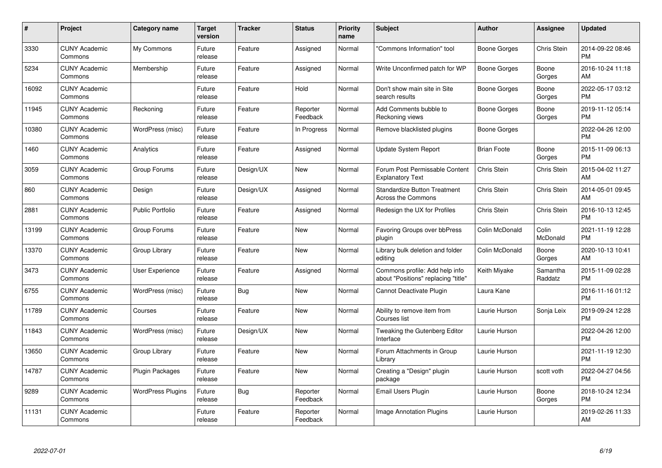| #     | Project                         | <b>Category name</b>     | <b>Target</b><br>version | <b>Tracker</b> | <b>Status</b>        | <b>Priority</b><br>name | <b>Subject</b>                                                        | <b>Author</b>      | <b>Assignee</b>     | <b>Updated</b>                |
|-------|---------------------------------|--------------------------|--------------------------|----------------|----------------------|-------------------------|-----------------------------------------------------------------------|--------------------|---------------------|-------------------------------|
| 3330  | <b>CUNY Academic</b><br>Commons | My Commons               | Future<br>release        | Feature        | Assigned             | Normal                  | "Commons Information" tool                                            | Boone Gorges       | Chris Stein         | 2014-09-22 08:46<br><b>PM</b> |
| 5234  | <b>CUNY Academic</b><br>Commons | Membership               | Future<br>release        | Feature        | Assigned             | Normal                  | Write Unconfirmed patch for WP                                        | Boone Gorges       | Boone<br>Gorges     | 2016-10-24 11:18<br>AM        |
| 16092 | <b>CUNY Academic</b><br>Commons |                          | Future<br>release        | Feature        | Hold                 | Normal                  | Don't show main site in Site<br>search results                        | Boone Gorges       | Boone<br>Gorges     | 2022-05-17 03:12<br><b>PM</b> |
| 11945 | <b>CUNY Academic</b><br>Commons | Reckoning                | Future<br>release        | Feature        | Reporter<br>Feedback | Normal                  | Add Comments bubble to<br>Reckoning views                             | Boone Gorges       | Boone<br>Gorges     | 2019-11-12 05:14<br><b>PM</b> |
| 10380 | <b>CUNY Academic</b><br>Commons | WordPress (misc)         | Future<br>release        | Feature        | In Progress          | Normal                  | Remove blacklisted plugins                                            | Boone Gorges       |                     | 2022-04-26 12:00<br><b>PM</b> |
| 1460  | <b>CUNY Academic</b><br>Commons | Analytics                | Future<br>release        | Feature        | Assigned             | Normal                  | <b>Update System Report</b>                                           | <b>Brian Foote</b> | Boone<br>Gorges     | 2015-11-09 06:13<br><b>PM</b> |
| 3059  | <b>CUNY Academic</b><br>Commons | Group Forums             | Future<br>release        | Design/UX      | <b>New</b>           | Normal                  | Forum Post Permissable Content<br><b>Explanatory Text</b>             | Chris Stein        | <b>Chris Stein</b>  | 2015-04-02 11:27<br>AM        |
| 860   | <b>CUNY Academic</b><br>Commons | Design                   | Future<br>release        | Design/UX      | Assigned             | Normal                  | <b>Standardize Button Treatment</b><br><b>Across the Commons</b>      | Chris Stein        | Chris Stein         | 2014-05-01 09:45<br>AM        |
| 2881  | <b>CUNY Academic</b><br>Commons | <b>Public Portfolio</b>  | Future<br>release        | Feature        | Assigned             | Normal                  | Redesign the UX for Profiles                                          | Chris Stein        | Chris Stein         | 2016-10-13 12:45<br><b>PM</b> |
| 13199 | <b>CUNY Academic</b><br>Commons | Group Forums             | Future<br>release        | Feature        | <b>New</b>           | Normal                  | Favoring Groups over bbPress<br>plugin                                | Colin McDonald     | Colin<br>McDonald   | 2021-11-19 12:28<br><b>PM</b> |
| 13370 | <b>CUNY Academic</b><br>Commons | Group Library            | Future<br>release        | Feature        | New                  | Normal                  | Library bulk deletion and folder<br>editing                           | Colin McDonald     | Boone<br>Gorges     | 2020-10-13 10:41<br>AM        |
| 3473  | <b>CUNY Academic</b><br>Commons | <b>User Experience</b>   | Future<br>release        | Feature        | Assigned             | Normal                  | Commons profile: Add help info<br>about "Positions" replacing "title" | Keith Miyake       | Samantha<br>Raddatz | 2015-11-09 02:28<br><b>PM</b> |
| 6755  | <b>CUNY Academic</b><br>Commons | WordPress (misc)         | Future<br>release        | <b>Bug</b>     | New                  | Normal                  | Cannot Deactivate Plugin                                              | Laura Kane         |                     | 2016-11-16 01:12<br><b>PM</b> |
| 11789 | <b>CUNY Academic</b><br>Commons | Courses                  | Future<br>release        | Feature        | New                  | Normal                  | Ability to remove item from<br>Courses list                           | Laurie Hurson      | Sonja Leix          | 2019-09-24 12:28<br><b>PM</b> |
| 11843 | <b>CUNY Academic</b><br>Commons | WordPress (misc)         | Future<br>release        | Design/UX      | New                  | Normal                  | Tweaking the Gutenberg Editor<br>Interface                            | Laurie Hurson      |                     | 2022-04-26 12:00<br><b>PM</b> |
| 13650 | <b>CUNY Academic</b><br>Commons | Group Library            | Future<br>release        | Feature        | New                  | Normal                  | Forum Attachments in Group<br>Library                                 | Laurie Hurson      |                     | 2021-11-19 12:30<br><b>PM</b> |
| 14787 | <b>CUNY Academic</b><br>Commons | <b>Plugin Packages</b>   | Future<br>release        | Feature        | New                  | Normal                  | Creating a "Design" plugin<br>package                                 | Laurie Hurson      | scott voth          | 2022-04-27 04:56<br><b>PM</b> |
| 9289  | <b>CUNY Academic</b><br>Commons | <b>WordPress Plugins</b> | Future<br>release        | Bug            | Reporter<br>Feedback | Normal                  | Email Users Plugin                                                    | Laurie Hurson      | Boone<br>Gorges     | 2018-10-24 12:34<br><b>PM</b> |
| 11131 | <b>CUNY Academic</b><br>Commons |                          | Future<br>release        | Feature        | Reporter<br>Feedback | Normal                  | Image Annotation Plugins                                              | Laurie Hurson      |                     | 2019-02-26 11:33<br>AM        |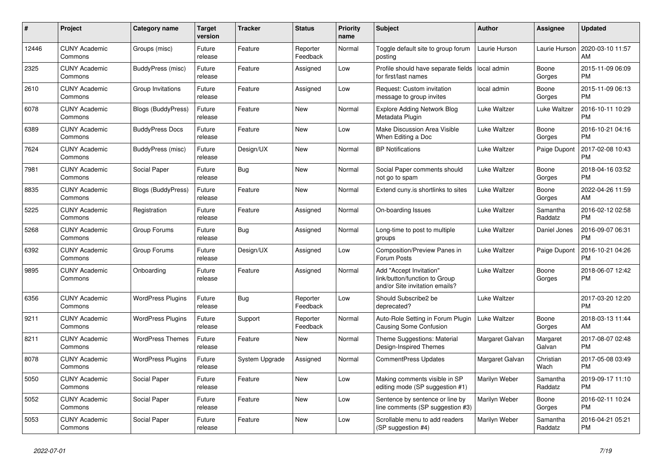| #     | <b>Project</b>                  | Category name             | <b>Target</b><br>version | Tracker        | <b>Status</b>        | <b>Priority</b><br>name | <b>Subject</b>                                                                             | <b>Author</b>   | <b>Assignee</b>     | <b>Updated</b>                |
|-------|---------------------------------|---------------------------|--------------------------|----------------|----------------------|-------------------------|--------------------------------------------------------------------------------------------|-----------------|---------------------|-------------------------------|
| 12446 | <b>CUNY Academic</b><br>Commons | Groups (misc)             | Future<br>release        | Feature        | Reporter<br>Feedback | Normal                  | Toggle default site to group forum<br>posting                                              | Laurie Hurson   | Laurie Hurson       | 2020-03-10 11:57<br>AM        |
| 2325  | <b>CUNY Academic</b><br>Commons | BuddyPress (misc)         | Future<br>release        | Feature        | Assigned             | Low                     | Profile should have separate fields<br>for first/last names                                | local admin     | Boone<br>Gorges     | 2015-11-09 06:09<br><b>PM</b> |
| 2610  | <b>CUNY Academic</b><br>Commons | Group Invitations         | Future<br>release        | Feature        | Assigned             | Low                     | Request: Custom invitation<br>message to group invites                                     | local admin     | Boone<br>Gorges     | 2015-11-09 06:13<br><b>PM</b> |
| 6078  | <b>CUNY Academic</b><br>Commons | <b>Blogs (BuddyPress)</b> | Future<br>release        | Feature        | <b>New</b>           | Normal                  | <b>Explore Adding Network Blog</b><br>Metadata Plugin                                      | Luke Waltzer    | Luke Waltzer        | 2016-10-11 10:29<br><b>PM</b> |
| 6389  | <b>CUNY Academic</b><br>Commons | <b>BuddyPress Docs</b>    | Future<br>release        | Feature        | New                  | Low                     | Make Discussion Area Visible<br>When Editing a Doc                                         | Luke Waltzer    | Boone<br>Gorges     | 2016-10-21 04:16<br><b>PM</b> |
| 7624  | <b>CUNY Academic</b><br>Commons | BuddyPress (misc)         | Future<br>release        | Design/UX      | New                  | Normal                  | <b>BP</b> Notifications                                                                    | Luke Waltzer    | Paige Dupont        | 2017-02-08 10:43<br><b>PM</b> |
| 7981  | <b>CUNY Academic</b><br>Commons | Social Paper              | Future<br>release        | <b>Bug</b>     | <b>New</b>           | Normal                  | Social Paper comments should<br>not go to spam                                             | Luke Waltzer    | Boone<br>Gorges     | 2018-04-16 03:52<br><b>PM</b> |
| 8835  | <b>CUNY Academic</b><br>Commons | Blogs (BuddyPress)        | Future<br>release        | Feature        | New                  | Normal                  | Extend cuny.is shortlinks to sites                                                         | Luke Waltzer    | Boone<br>Gorges     | 2022-04-26 11:59<br>AM        |
| 5225  | <b>CUNY Academic</b><br>Commons | Registration              | Future<br>release        | Feature        | Assigned             | Normal                  | On-boarding Issues                                                                         | Luke Waltzer    | Samantha<br>Raddatz | 2016-02-12 02:58<br><b>PM</b> |
| 5268  | <b>CUNY Academic</b><br>Commons | Group Forums              | Future<br>release        | Bug            | Assigned             | Normal                  | Long-time to post to multiple<br>groups                                                    | Luke Waltzer    | Daniel Jones        | 2016-09-07 06:31<br><b>PM</b> |
| 6392  | <b>CUNY Academic</b><br>Commons | Group Forums              | Future<br>release        | Design/UX      | Assigned             | Low                     | Composition/Preview Panes in<br>Forum Posts                                                | Luke Waltzer    | Paige Dupont        | 2016-10-21 04:26<br><b>PM</b> |
| 9895  | <b>CUNY Academic</b><br>Commons | Onboarding                | Future<br>release        | Feature        | Assigned             | Normal                  | Add "Accept Invitation"<br>link/button/function to Group<br>and/or Site invitation emails? | Luke Waltzer    | Boone<br>Gorges     | 2018-06-07 12:42<br><b>PM</b> |
| 6356  | <b>CUNY Academic</b><br>Commons | <b>WordPress Plugins</b>  | Future<br>release        | <b>Bug</b>     | Reporter<br>Feedback | Low                     | Should Subscribe2 be<br>deprecated?                                                        | Luke Waltzer    |                     | 2017-03-20 12:20<br><b>PM</b> |
| 9211  | <b>CUNY Academic</b><br>Commons | <b>WordPress Plugins</b>  | Future<br>release        | Support        | Reporter<br>Feedback | Normal                  | Auto-Role Setting in Forum Plugin<br>Causing Some Confusion                                | Luke Waltzer    | Boone<br>Gorges     | 2018-03-13 11:44<br>AM        |
| 8211  | <b>CUNY Academic</b><br>Commons | <b>WordPress Themes</b>   | Future<br>release        | Feature        | New                  | Normal                  | Theme Suggestions: Material<br>Design-Inspired Themes                                      | Margaret Galvan | Margaret<br>Galvan  | 2017-08-07 02:48<br><b>PM</b> |
| 8078  | <b>CUNY Academic</b><br>Commons | <b>WordPress Plugins</b>  | Future<br>release        | System Upgrade | Assigned             | Normal                  | <b>CommentPress Updates</b>                                                                | Margaret Galvan | Christian<br>Wach   | 2017-05-08 03:49<br><b>PM</b> |
| 5050  | <b>CUNY Academic</b><br>Commons | Social Paper              | Future<br>release        | Feature        | <b>New</b>           | Low                     | Making comments visible in SP<br>editing mode (SP suggestion #1)                           | Marilyn Weber   | Samantha<br>Raddatz | 2019-09-17 11:10<br><b>PM</b> |
| 5052  | <b>CUNY Academic</b><br>Commons | Social Paper              | Future<br>release        | Feature        | New                  | Low                     | Sentence by sentence or line by<br>line comments (SP suggestion #3)                        | Marilyn Weber   | Boone<br>Gorges     | 2016-02-11 10:24<br><b>PM</b> |
| 5053  | <b>CUNY Academic</b><br>Commons | Social Paper              | Future<br>release        | Feature        | <b>New</b>           | Low                     | Scrollable menu to add readers<br>(SP suggestion #4)                                       | Marilyn Weber   | Samantha<br>Raddatz | 2016-04-21 05:21<br>PM        |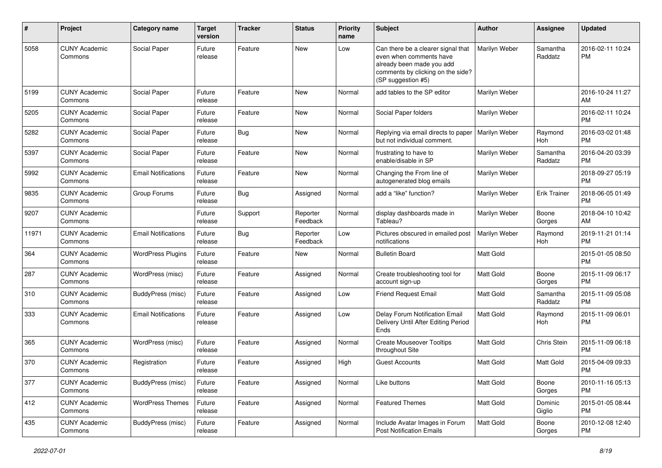| #     | Project                         | Category name              | <b>Target</b><br>version | <b>Tracker</b> | <b>Status</b>        | Priority<br>name | <b>Subject</b>                                                                                                                                        | Author           | Assignee            | <b>Updated</b>                |
|-------|---------------------------------|----------------------------|--------------------------|----------------|----------------------|------------------|-------------------------------------------------------------------------------------------------------------------------------------------------------|------------------|---------------------|-------------------------------|
| 5058  | <b>CUNY Academic</b><br>Commons | Social Paper               | Future<br>release        | Feature        | <b>New</b>           | Low              | Can there be a clearer signal that<br>even when comments have<br>already been made you add<br>comments by clicking on the side?<br>(SP suggestion #5) | Marilyn Weber    | Samantha<br>Raddatz | 2016-02-11 10:24<br><b>PM</b> |
| 5199  | <b>CUNY Academic</b><br>Commons | Social Paper               | Future<br>release        | Feature        | New                  | Normal           | add tables to the SP editor                                                                                                                           | Marilyn Weber    |                     | 2016-10-24 11:27<br>AM        |
| 5205  | <b>CUNY Academic</b><br>Commons | Social Paper               | Future<br>release        | Feature        | <b>New</b>           | Normal           | Social Paper folders                                                                                                                                  | Marilyn Weber    |                     | 2016-02-11 10:24<br><b>PM</b> |
| 5282  | <b>CUNY Academic</b><br>Commons | Social Paper               | Future<br>release        | Bug            | <b>New</b>           | Normal           | Replying via email directs to paper<br>but not individual comment.                                                                                    | Marilyn Weber    | Raymond<br>Hoh      | 2016-03-02 01:48<br><b>PM</b> |
| 5397  | <b>CUNY Academic</b><br>Commons | Social Paper               | Future<br>release        | Feature        | New                  | Normal           | frustrating to have to<br>enable/disable in SP                                                                                                        | Marilyn Weber    | Samantha<br>Raddatz | 2016-04-20 03:39<br><b>PM</b> |
| 5992  | <b>CUNY Academic</b><br>Commons | <b>Email Notifications</b> | Future<br>release        | Feature        | New                  | Normal           | Changing the From line of<br>autogenerated blog emails                                                                                                | Marilyn Weber    |                     | 2018-09-27 05:19<br><b>PM</b> |
| 9835  | <b>CUNY Academic</b><br>Commons | Group Forums               | Future<br>release        | Bug            | Assigned             | Normal           | add a "like" function?                                                                                                                                | Marilyn Weber    | <b>Erik Trainer</b> | 2018-06-05 01:49<br><b>PM</b> |
| 9207  | <b>CUNY Academic</b><br>Commons |                            | Future<br>release        | Support        | Reporter<br>Feedback | Normal           | display dashboards made in<br>Tableau?                                                                                                                | Marilyn Weber    | Boone<br>Gorges     | 2018-04-10 10:42<br>AM        |
| 11971 | <b>CUNY Academic</b><br>Commons | <b>Email Notifications</b> | Future<br>release        | Bug            | Reporter<br>Feedback | Low              | Pictures obscured in emailed post<br>notifications                                                                                                    | Marilyn Weber    | Raymond<br>Hoh      | 2019-11-21 01:14<br><b>PM</b> |
| 364   | <b>CUNY Academic</b><br>Commons | <b>WordPress Plugins</b>   | Future<br>release        | Feature        | New                  | Normal           | <b>Bulletin Board</b>                                                                                                                                 | <b>Matt Gold</b> |                     | 2015-01-05 08:50<br><b>PM</b> |
| 287   | <b>CUNY Academic</b><br>Commons | WordPress (misc)           | Future<br>release        | Feature        | Assigned             | Normal           | Create troubleshooting tool for<br>account sign-up                                                                                                    | <b>Matt Gold</b> | Boone<br>Gorges     | 2015-11-09 06:17<br><b>PM</b> |
| 310   | <b>CUNY Academic</b><br>Commons | BuddyPress (misc)          | Future<br>release        | Feature        | Assigned             | Low              | <b>Friend Request Email</b>                                                                                                                           | <b>Matt Gold</b> | Samantha<br>Raddatz | 2015-11-09 05:08<br><b>PM</b> |
| 333   | <b>CUNY Academic</b><br>Commons | <b>Email Notifications</b> | Future<br>release        | Feature        | Assigned             | Low              | Delay Forum Notification Email<br>Delivery Until After Editing Period<br>Ends                                                                         | <b>Matt Gold</b> | Raymond<br>Hoh      | 2015-11-09 06:01<br>PM        |
| 365   | <b>CUNY Academic</b><br>Commons | WordPress (misc)           | Future<br>release        | Feature        | Assigned             | Normal           | <b>Create Mouseover Tooltips</b><br>throughout Site                                                                                                   | Matt Gold        | Chris Stein         | 2015-11-09 06:18<br><b>PM</b> |
| 370   | <b>CUNY Academic</b><br>Commons | Registration               | Future<br>release        | Feature        | Assigned             | High             | <b>Guest Accounts</b>                                                                                                                                 | <b>Matt Gold</b> | <b>Matt Gold</b>    | 2015-04-09 09:33<br><b>PM</b> |
| 377   | <b>CUNY Academic</b><br>Commons | BuddyPress (misc)          | Future<br>release        | Feature        | Assigned             | Normal           | Like buttons                                                                                                                                          | Matt Gold        | Boone<br>Gorges     | 2010-11-16 05:13<br><b>PM</b> |
| 412   | <b>CUNY Academic</b><br>Commons | <b>WordPress Themes</b>    | Future<br>release        | Feature        | Assigned             | Normal           | <b>Featured Themes</b>                                                                                                                                | Matt Gold        | Dominic<br>Giglio   | 2015-01-05 08:44<br><b>PM</b> |
| 435   | <b>CUNY Academic</b><br>Commons | BuddyPress (misc)          | Future<br>release        | Feature        | Assigned             | Normal           | Include Avatar Images in Forum<br><b>Post Notification Emails</b>                                                                                     | Matt Gold        | Boone<br>Gorges     | 2010-12-08 12:40<br><b>PM</b> |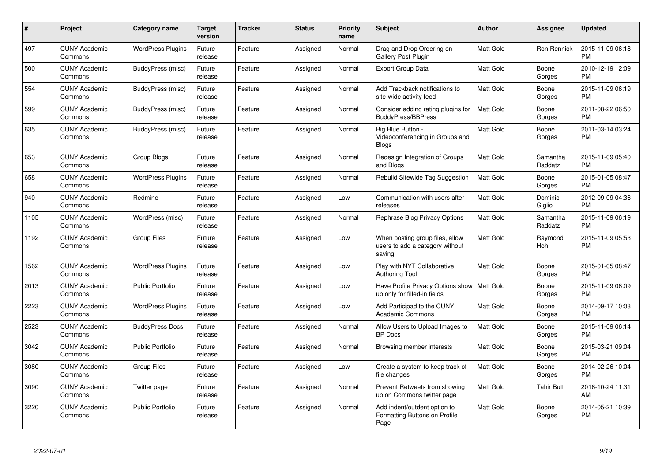| $\#$ | Project                         | <b>Category name</b>     | <b>Target</b><br>version | <b>Tracker</b> | <b>Status</b> | <b>Priority</b><br>name | <b>Subject</b>                                                                | <b>Author</b>    | Assignee            | <b>Updated</b>                |
|------|---------------------------------|--------------------------|--------------------------|----------------|---------------|-------------------------|-------------------------------------------------------------------------------|------------------|---------------------|-------------------------------|
| 497  | <b>CUNY Academic</b><br>Commons | <b>WordPress Plugins</b> | Future<br>release        | Feature        | Assigned      | Normal                  | Drag and Drop Ordering on<br>Gallery Post Plugin                              | Matt Gold        | Ron Rennick         | 2015-11-09 06:18<br><b>PM</b> |
| 500  | <b>CUNY Academic</b><br>Commons | BuddyPress (misc)        | Future<br>release        | Feature        | Assigned      | Normal                  | Export Group Data                                                             | <b>Matt Gold</b> | Boone<br>Gorges     | 2010-12-19 12:09<br><b>PM</b> |
| 554  | <b>CUNY Academic</b><br>Commons | BuddyPress (misc)        | Future<br>release        | Feature        | Assigned      | Normal                  | Add Trackback notifications to<br>site-wide activity feed                     | Matt Gold        | Boone<br>Gorges     | 2015-11-09 06:19<br><b>PM</b> |
| 599  | <b>CUNY Academic</b><br>Commons | BuddyPress (misc)        | Future<br>release        | Feature        | Assigned      | Normal                  | Consider adding rating plugins for<br><b>BuddyPress/BBPress</b>               | <b>Matt Gold</b> | Boone<br>Gorges     | 2011-08-22 06:50<br><b>PM</b> |
| 635  | <b>CUNY Academic</b><br>Commons | BuddyPress (misc)        | Future<br>release        | Feature        | Assigned      | Normal                  | Big Blue Button -<br>Videoconferencing in Groups and<br><b>Blogs</b>          | Matt Gold        | Boone<br>Gorges     | 2011-03-14 03:24<br><b>PM</b> |
| 653  | <b>CUNY Academic</b><br>Commons | Group Blogs              | Future<br>release        | Feature        | Assigned      | Normal                  | Redesign Integration of Groups<br>and Blogs                                   | <b>Matt Gold</b> | Samantha<br>Raddatz | 2015-11-09 05:40<br><b>PM</b> |
| 658  | <b>CUNY Academic</b><br>Commons | <b>WordPress Plugins</b> | Future<br>release        | Feature        | Assigned      | Normal                  | Rebulid Sitewide Tag Suggestion                                               | <b>Matt Gold</b> | Boone<br>Gorges     | 2015-01-05 08:47<br><b>PM</b> |
| 940  | <b>CUNY Academic</b><br>Commons | Redmine                  | Future<br>release        | Feature        | Assigned      | Low                     | Communication with users after<br>releases                                    | Matt Gold        | Dominic<br>Giglio   | 2012-09-09 04:36<br><b>PM</b> |
| 1105 | <b>CUNY Academic</b><br>Commons | WordPress (misc)         | Future<br>release        | Feature        | Assigned      | Normal                  | Rephrase Blog Privacy Options                                                 | Matt Gold        | Samantha<br>Raddatz | 2015-11-09 06:19<br><b>PM</b> |
| 1192 | <b>CUNY Academic</b><br>Commons | <b>Group Files</b>       | Future<br>release        | Feature        | Assigned      | Low                     | When posting group files, allow<br>users to add a category without<br>saving  | Matt Gold        | Raymond<br>Hoh      | 2015-11-09 05:53<br><b>PM</b> |
| 1562 | <b>CUNY Academic</b><br>Commons | <b>WordPress Plugins</b> | Future<br>release        | Feature        | Assigned      | Low                     | Play with NYT Collaborative<br>Authoring Tool                                 | <b>Matt Gold</b> | Boone<br>Gorges     | 2015-01-05 08:47<br><b>PM</b> |
| 2013 | <b>CUNY Academic</b><br>Commons | <b>Public Portfolio</b>  | Future<br>release        | Feature        | Assigned      | Low                     | Have Profile Privacy Options show   Matt Gold<br>up only for filled-in fields |                  | Boone<br>Gorges     | 2015-11-09 06:09<br><b>PM</b> |
| 2223 | <b>CUNY Academic</b><br>Commons | <b>WordPress Plugins</b> | Future<br>release        | Feature        | Assigned      | Low                     | Add Participad to the CUNY<br><b>Academic Commons</b>                         | Matt Gold        | Boone<br>Gorges     | 2014-09-17 10:03<br><b>PM</b> |
| 2523 | <b>CUNY Academic</b><br>Commons | <b>BuddyPress Docs</b>   | Future<br>release        | Feature        | Assigned      | Normal                  | Allow Users to Upload Images to<br><b>BP</b> Docs                             | Matt Gold        | Boone<br>Gorges     | 2015-11-09 06:14<br><b>PM</b> |
| 3042 | <b>CUNY Academic</b><br>Commons | <b>Public Portfolio</b>  | Future<br>release        | Feature        | Assigned      | Normal                  | Browsing member interests                                                     | Matt Gold        | Boone<br>Gorges     | 2015-03-21 09:04<br><b>PM</b> |
| 3080 | <b>CUNY Academic</b><br>Commons | <b>Group Files</b>       | Future<br>release        | Feature        | Assigned      | Low                     | Create a system to keep track of<br>file changes                              | Matt Gold        | Boone<br>Gorges     | 2014-02-26 10:04<br><b>PM</b> |
| 3090 | <b>CUNY Academic</b><br>Commons | Twitter page             | Future<br>release        | Feature        | Assigned      | Normal                  | Prevent Retweets from showing<br>up on Commons twitter page                   | Matt Gold        | Tahir Butt          | 2016-10-24 11:31<br>AM        |
| 3220 | <b>CUNY Academic</b><br>Commons | <b>Public Portfolio</b>  | Future<br>release        | Feature        | Assigned      | Normal                  | Add indent/outdent option to<br>Formatting Buttons on Profile<br>Page         | <b>Matt Gold</b> | Boone<br>Gorges     | 2014-05-21 10:39<br><b>PM</b> |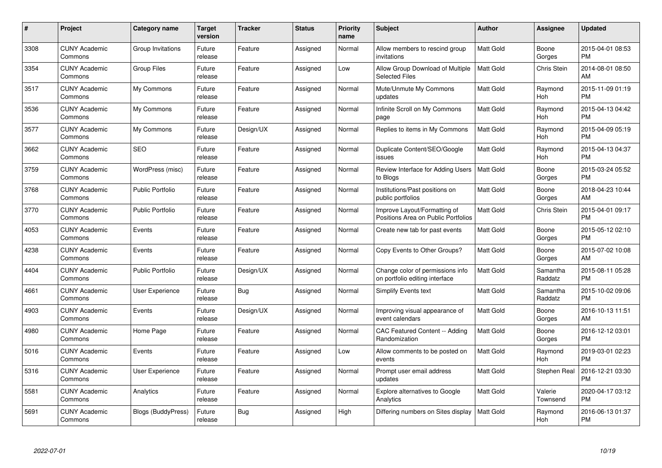| $\#$ | Project                         | <b>Category name</b>    | Target<br>version | <b>Tracker</b> | <b>Status</b> | Priority<br>name | <b>Subject</b>                                                      | <b>Author</b>    | <b>Assignee</b>     | <b>Updated</b>                |
|------|---------------------------------|-------------------------|-------------------|----------------|---------------|------------------|---------------------------------------------------------------------|------------------|---------------------|-------------------------------|
| 3308 | <b>CUNY Academic</b><br>Commons | Group Invitations       | Future<br>release | Feature        | Assigned      | Normal           | Allow members to rescind group<br>invitations                       | <b>Matt Gold</b> | Boone<br>Gorges     | 2015-04-01 08:53<br><b>PM</b> |
| 3354 | <b>CUNY Academic</b><br>Commons | <b>Group Files</b>      | Future<br>release | Feature        | Assigned      | Low              | Allow Group Download of Multiple<br><b>Selected Files</b>           | <b>Matt Gold</b> | <b>Chris Stein</b>  | 2014-08-01 08:50<br>AM        |
| 3517 | <b>CUNY Academic</b><br>Commons | My Commons              | Future<br>release | Feature        | Assigned      | Normal           | Mute/Unmute My Commons<br>updates                                   | Matt Gold        | Raymond<br>Hoh      | 2015-11-09 01:19<br><b>PM</b> |
| 3536 | <b>CUNY Academic</b><br>Commons | My Commons              | Future<br>release | Feature        | Assigned      | Normal           | Infinite Scroll on My Commons<br>page                               | <b>Matt Gold</b> | Raymond<br>Hoh      | 2015-04-13 04:42<br><b>PM</b> |
| 3577 | <b>CUNY Academic</b><br>Commons | My Commons              | Future<br>release | Design/UX      | Assigned      | Normal           | Replies to items in My Commons                                      | <b>Matt Gold</b> | Raymond<br>Hoh      | 2015-04-09 05:19<br><b>PM</b> |
| 3662 | <b>CUNY Academic</b><br>Commons | <b>SEO</b>              | Future<br>release | Feature        | Assigned      | Normal           | Duplicate Content/SEO/Google<br>issues                              | <b>Matt Gold</b> | Raymond<br>Hoh      | 2015-04-13 04:37<br><b>PM</b> |
| 3759 | <b>CUNY Academic</b><br>Commons | WordPress (misc)        | Future<br>release | Feature        | Assigned      | Normal           | Review Interface for Adding Users<br>to Blogs                       | <b>Matt Gold</b> | Boone<br>Gorges     | 2015-03-24 05:52<br><b>PM</b> |
| 3768 | <b>CUNY Academic</b><br>Commons | <b>Public Portfolio</b> | Future<br>release | Feature        | Assigned      | Normal           | Institutions/Past positions on<br>public portfolios                 | Matt Gold        | Boone<br>Gorges     | 2018-04-23 10:44<br>AM        |
| 3770 | <b>CUNY Academic</b><br>Commons | <b>Public Portfolio</b> | Future<br>release | Feature        | Assigned      | Normal           | Improve Layout/Formatting of<br>Positions Area on Public Portfolios | <b>Matt Gold</b> | <b>Chris Stein</b>  | 2015-04-01 09:17<br><b>PM</b> |
| 4053 | <b>CUNY Academic</b><br>Commons | Events                  | Future<br>release | Feature        | Assigned      | Normal           | Create new tab for past events                                      | <b>Matt Gold</b> | Boone<br>Gorges     | 2015-05-12 02:10<br><b>PM</b> |
| 4238 | <b>CUNY Academic</b><br>Commons | Events                  | Future<br>release | Feature        | Assigned      | Normal           | Copy Events to Other Groups?                                        | Matt Gold        | Boone<br>Gorges     | 2015-07-02 10:08<br>AM        |
| 4404 | <b>CUNY Academic</b><br>Commons | <b>Public Portfolio</b> | Future<br>release | Design/UX      | Assigned      | Normal           | Change color of permissions info<br>on portfolio editing interface  | <b>Matt Gold</b> | Samantha<br>Raddatz | 2015-08-11 05:28<br><b>PM</b> |
| 4661 | <b>CUNY Academic</b><br>Commons | User Experience         | Future<br>release | Bug            | Assigned      | Normal           | Simplify Events text                                                | Matt Gold        | Samantha<br>Raddatz | 2015-10-02 09:06<br><b>PM</b> |
| 4903 | <b>CUNY Academic</b><br>Commons | Events                  | Future<br>release | Design/UX      | Assigned      | Normal           | Improving visual appearance of<br>event calendars                   | Matt Gold        | Boone<br>Gorges     | 2016-10-13 11:51<br>AM        |
| 4980 | <b>CUNY Academic</b><br>Commons | Home Page               | Future<br>release | Feature        | Assigned      | Normal           | <b>CAC Featured Content -- Adding</b><br>Randomization              | <b>Matt Gold</b> | Boone<br>Gorges     | 2016-12-12 03:01<br><b>PM</b> |
| 5016 | <b>CUNY Academic</b><br>Commons | Events                  | Future<br>release | Feature        | Assigned      | Low              | Allow comments to be posted on<br>events                            | Matt Gold        | Raymond<br>Hoh      | 2019-03-01 02:23<br><b>PM</b> |
| 5316 | <b>CUNY Academic</b><br>Commons | User Experience         | Future<br>release | Feature        | Assigned      | Normal           | Prompt user email address<br>updates                                | <b>Matt Gold</b> | Stephen Real        | 2016-12-21 03:30<br><b>PM</b> |
| 5581 | <b>CUNY Academic</b><br>Commons | Analytics               | Future<br>release | Feature        | Assigned      | Normal           | Explore alternatives to Google<br>Analytics                         | <b>Matt Gold</b> | Valerie<br>Townsend | 2020-04-17 03:12<br><b>PM</b> |
| 5691 | CUNY Academic<br>Commons        | Blogs (BuddyPress)      | Future<br>release | Bug            | Assigned      | High             | Differing numbers on Sites display                                  | <b>Matt Gold</b> | Raymond<br>Hoh      | 2016-06-13 01:37<br><b>PM</b> |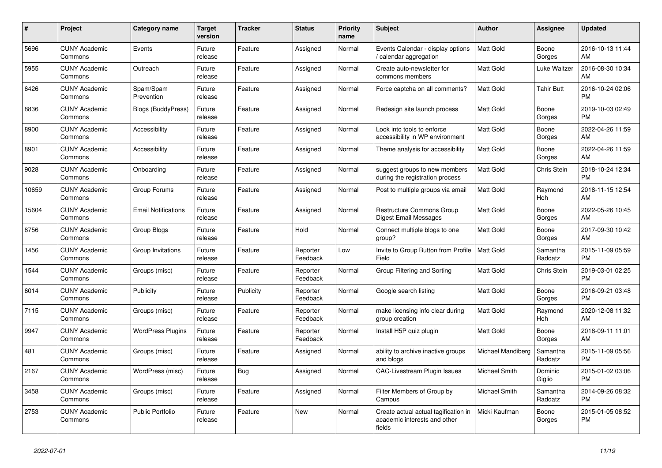| #     | Project                         | Category name              | <b>Target</b><br>version | <b>Tracker</b> | <b>Status</b>        | Priority<br>name | <b>Subject</b>                                                                 | <b>Author</b>     | Assignee            | <b>Updated</b>                |
|-------|---------------------------------|----------------------------|--------------------------|----------------|----------------------|------------------|--------------------------------------------------------------------------------|-------------------|---------------------|-------------------------------|
| 5696  | <b>CUNY Academic</b><br>Commons | Events                     | Future<br>release        | Feature        | Assigned             | Normal           | Events Calendar - display options<br>calendar aggregation                      | <b>Matt Gold</b>  | Boone<br>Gorges     | 2016-10-13 11:44<br>AM        |
| 5955  | <b>CUNY Academic</b><br>Commons | Outreach                   | Future<br>release        | Feature        | Assigned             | Normal           | Create auto-newsletter for<br>commons members                                  | Matt Gold         | Luke Waltzer        | 2016-08-30 10:34<br>AM        |
| 6426  | <b>CUNY Academic</b><br>Commons | Spam/Spam<br>Prevention    | Future<br>release        | Feature        | Assigned             | Normal           | Force captcha on all comments?                                                 | Matt Gold         | <b>Tahir Butt</b>   | 2016-10-24 02:06<br><b>PM</b> |
| 8836  | <b>CUNY Academic</b><br>Commons | <b>Blogs (BuddyPress)</b>  | Future<br>release        | Feature        | Assigned             | Normal           | Redesign site launch process                                                   | Matt Gold         | Boone<br>Gorges     | 2019-10-03 02:49<br><b>PM</b> |
| 8900  | <b>CUNY Academic</b><br>Commons | Accessibility              | Future<br>release        | Feature        | Assigned             | Normal           | Look into tools to enforce<br>accessibility in WP environment                  | Matt Gold         | Boone<br>Gorges     | 2022-04-26 11:59<br>AM        |
| 8901  | <b>CUNY Academic</b><br>Commons | Accessibility              | Future<br>release        | Feature        | Assigned             | Normal           | Theme analysis for accessibility                                               | Matt Gold         | Boone<br>Gorges     | 2022-04-26 11:59<br>AM        |
| 9028  | <b>CUNY Academic</b><br>Commons | Onboarding                 | Future<br>release        | Feature        | Assigned             | Normal           | suggest groups to new members<br>during the registration process               | <b>Matt Gold</b>  | Chris Stein         | 2018-10-24 12:34<br><b>PM</b> |
| 10659 | <b>CUNY Academic</b><br>Commons | Group Forums               | Future<br>release        | Feature        | Assigned             | Normal           | Post to multiple groups via email                                              | <b>Matt Gold</b>  | Raymond<br>Hoh      | 2018-11-15 12:54<br>AM        |
| 15604 | <b>CUNY Academic</b><br>Commons | <b>Email Notifications</b> | Future<br>release        | Feature        | Assigned             | Normal           | Restructure Commons Group<br>Digest Email Messages                             | Matt Gold         | Boone<br>Gorges     | 2022-05-26 10:45<br>AM        |
| 8756  | <b>CUNY Academic</b><br>Commons | Group Blogs                | Future<br>release        | Feature        | Hold                 | Normal           | Connect multiple blogs to one<br>group?                                        | Matt Gold         | Boone<br>Gorges     | 2017-09-30 10:42<br>AM        |
| 1456  | <b>CUNY Academic</b><br>Commons | Group Invitations          | Future<br>release        | Feature        | Reporter<br>Feedback | Low              | Invite to Group Button from Profile<br>Field                                   | <b>Matt Gold</b>  | Samantha<br>Raddatz | 2015-11-09 05:59<br><b>PM</b> |
| 1544  | <b>CUNY Academic</b><br>Commons | Groups (misc)              | Future<br>release        | Feature        | Reporter<br>Feedback | Normal           | Group Filtering and Sorting                                                    | Matt Gold         | Chris Stein         | 2019-03-01 02:25<br><b>PM</b> |
| 6014  | <b>CUNY Academic</b><br>Commons | Publicity                  | Future<br>release        | Publicity      | Reporter<br>Feedback | Normal           | Google search listing                                                          | <b>Matt Gold</b>  | Boone<br>Gorges     | 2016-09-21 03:48<br><b>PM</b> |
| 7115  | <b>CUNY Academic</b><br>Commons | Groups (misc)              | Future<br>release        | Feature        | Reporter<br>Feedback | Normal           | make licensing info clear during<br>group creation                             | <b>Matt Gold</b>  | Raymond<br>Hoh      | 2020-12-08 11:32<br>AM        |
| 9947  | <b>CUNY Academic</b><br>Commons | <b>WordPress Plugins</b>   | Future<br>release        | Feature        | Reporter<br>Feedback | Normal           | Install H5P quiz plugin                                                        | Matt Gold         | Boone<br>Gorges     | 2018-09-11 11:01<br>AM        |
| 481   | <b>CUNY Academic</b><br>Commons | Groups (misc)              | Future<br>release        | Feature        | Assigned             | Normal           | ability to archive inactive groups<br>and blogs                                | Michael Mandiberg | Samantha<br>Raddatz | 2015-11-09 05:56<br><b>PM</b> |
| 2167  | <b>CUNY Academic</b><br>Commons | WordPress (misc)           | Future<br>release        | Bug            | Assigned             | Normal           | <b>CAC-Livestream Plugin Issues</b>                                            | Michael Smith     | Dominic<br>Giglio   | 2015-01-02 03:06<br><b>PM</b> |
| 3458  | <b>CUNY Academic</b><br>Commons | Groups (misc)              | Future<br>release        | Feature        | Assigned             | Normal           | Filter Members of Group by<br>Campus                                           | Michael Smith     | Samantha<br>Raddatz | 2014-09-26 08:32<br><b>PM</b> |
| 2753  | <b>CUNY Academic</b><br>Commons | <b>Public Portfolio</b>    | Future<br>release        | Feature        | New                  | Normal           | Create actual actual tagification in<br>academic interests and other<br>fields | Micki Kaufman     | Boone<br>Gorges     | 2015-01-05 08:52<br><b>PM</b> |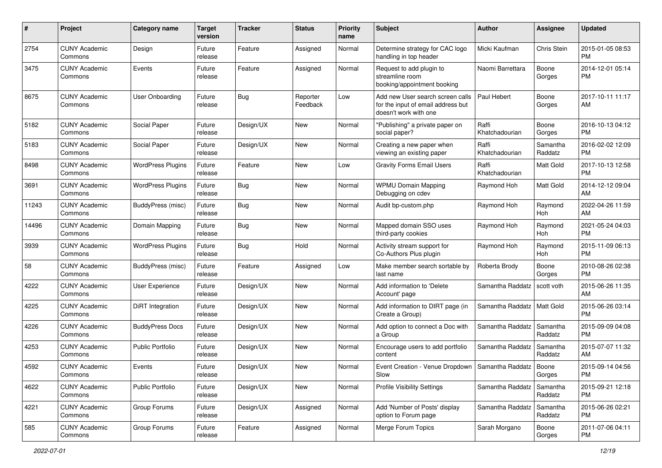| #     | Project                         | <b>Category name</b>     | <b>Target</b><br>version | <b>Tracker</b> | <b>Status</b>        | <b>Priority</b><br>name | <b>Subject</b>                                                                                  | Author                  | <b>Assignee</b>     | <b>Updated</b>                |
|-------|---------------------------------|--------------------------|--------------------------|----------------|----------------------|-------------------------|-------------------------------------------------------------------------------------------------|-------------------------|---------------------|-------------------------------|
| 2754  | <b>CUNY Academic</b><br>Commons | Design                   | Future<br>release        | Feature        | Assigned             | Normal                  | Determine strategy for CAC logo<br>handling in top header                                       | Micki Kaufman           | Chris Stein         | 2015-01-05 08:53<br><b>PM</b> |
| 3475  | <b>CUNY Academic</b><br>Commons | Events                   | Future<br>release        | Feature        | Assigned             | Normal                  | Request to add plugin to<br>streamline room<br>booking/appointment booking                      | Naomi Barrettara        | Boone<br>Gorges     | 2014-12-01 05:14<br><b>PM</b> |
| 8675  | <b>CUNY Academic</b><br>Commons | <b>User Onboarding</b>   | Future<br>release        | <b>Bug</b>     | Reporter<br>Feedback | Low                     | Add new User search screen calls<br>for the input of email address but<br>doesn't work with one | Paul Hebert             | Boone<br>Gorges     | 2017-10-11 11:17<br>AM        |
| 5182  | <b>CUNY Academic</b><br>Commons | Social Paper             | Future<br>release        | Design/UX      | New                  | Normal                  | "Publishing" a private paper on<br>social paper?                                                | Raffi<br>Khatchadourian | Boone<br>Gorges     | 2016-10-13 04:12<br><b>PM</b> |
| 5183  | <b>CUNY Academic</b><br>Commons | Social Paper             | Future<br>release        | Design/UX      | <b>New</b>           | Normal                  | Creating a new paper when<br>viewing an existing paper                                          | Raffi<br>Khatchadourian | Samantha<br>Raddatz | 2016-02-02 12:09<br><b>PM</b> |
| 8498  | <b>CUNY Academic</b><br>Commons | <b>WordPress Plugins</b> | Future<br>release        | Feature        | <b>New</b>           | Low                     | <b>Gravity Forms Email Users</b>                                                                | Raffi<br>Khatchadourian | Matt Gold           | 2017-10-13 12:58<br><b>PM</b> |
| 3691  | <b>CUNY Academic</b><br>Commons | <b>WordPress Plugins</b> | Future<br>release        | Bug            | <b>New</b>           | Normal                  | <b>WPMU Domain Mapping</b><br>Debugging on cdev                                                 | Raymond Hoh             | Matt Gold           | 2014-12-12 09:04<br>AM        |
| 11243 | <b>CUNY Academic</b><br>Commons | BuddyPress (misc)        | Future<br>release        | Bug            | New                  | Normal                  | Audit bp-custom.php                                                                             | Raymond Hoh             | Raymond<br>Hoh      | 2022-04-26 11:59<br>AM        |
| 14496 | <b>CUNY Academic</b><br>Commons | Domain Mapping           | Future<br>release        | Bug            | New                  | Normal                  | Mapped domain SSO uses<br>third-party cookies                                                   | Raymond Hoh             | Raymond<br>Hoh      | 2021-05-24 04:03<br><b>PM</b> |
| 3939  | <b>CUNY Academic</b><br>Commons | <b>WordPress Plugins</b> | Future<br>release        | Bug            | Hold                 | Normal                  | Activity stream support for<br>Co-Authors Plus plugin                                           | Raymond Hoh             | Raymond<br>Hoh      | 2015-11-09 06:13<br><b>PM</b> |
| 58    | <b>CUNY Academic</b><br>Commons | BuddyPress (misc)        | Future<br>release        | Feature        | Assigned             | Low                     | Make member search sortable by<br>last name                                                     | Roberta Brody           | Boone<br>Gorges     | 2010-08-26 02:38<br><b>PM</b> |
| 4222  | <b>CUNY Academic</b><br>Commons | User Experience          | Future<br>release        | Design/UX      | <b>New</b>           | Normal                  | Add information to 'Delete<br>Account' page                                                     | Samantha Raddatz        | scott voth          | 2015-06-26 11:35<br>AM        |
| 4225  | <b>CUNY Academic</b><br>Commons | <b>DiRT</b> Integration  | Future<br>release        | Design/UX      | <b>New</b>           | Normal                  | Add information to DIRT page (in<br>Create a Group)                                             | Samantha Raddatz        | Matt Gold           | 2015-06-26 03:14<br><b>PM</b> |
| 4226  | <b>CUNY Academic</b><br>Commons | <b>BuddyPress Docs</b>   | Future<br>release        | Design/UX      | <b>New</b>           | Normal                  | Add option to connect a Doc with<br>a Group                                                     | Samantha Raddatz        | Samantha<br>Raddatz | 2015-09-09 04:08<br><b>PM</b> |
| 4253  | <b>CUNY Academic</b><br>Commons | Public Portfolio         | Future<br>release        | Design/UX      | New                  | Normal                  | Encourage users to add portfolio<br>content                                                     | Samantha Raddatz        | Samantha<br>Raddatz | 2015-07-07 11:32<br>AM        |
| 4592  | <b>CUNY Academic</b><br>Commons | Events                   | Future<br>release        | Design/UX      | <b>New</b>           | Normal                  | Event Creation - Venue Dropdown<br>Slow                                                         | Samantha Raddatz        | Boone<br>Gorges     | 2015-09-14 04:56<br>PM        |
| 4622  | <b>CUNY Academic</b><br>Commons | <b>Public Portfolio</b>  | Future<br>release        | Design/UX      | New                  | Normal                  | <b>Profile Visibility Settings</b>                                                              | Samantha Raddatz        | Samantha<br>Raddatz | 2015-09-21 12:18<br><b>PM</b> |
| 4221  | <b>CUNY Academic</b><br>Commons | Group Forums             | Future<br>release        | Design/UX      | Assigned             | Normal                  | Add 'Number of Posts' display<br>option to Forum page                                           | Samantha Raddatz        | Samantha<br>Raddatz | 2015-06-26 02:21<br><b>PM</b> |
| 585   | <b>CUNY Academic</b><br>Commons | Group Forums             | Future<br>release        | Feature        | Assigned             | Normal                  | Merge Forum Topics                                                                              | Sarah Morgano           | Boone<br>Gorges     | 2011-07-06 04:11<br><b>PM</b> |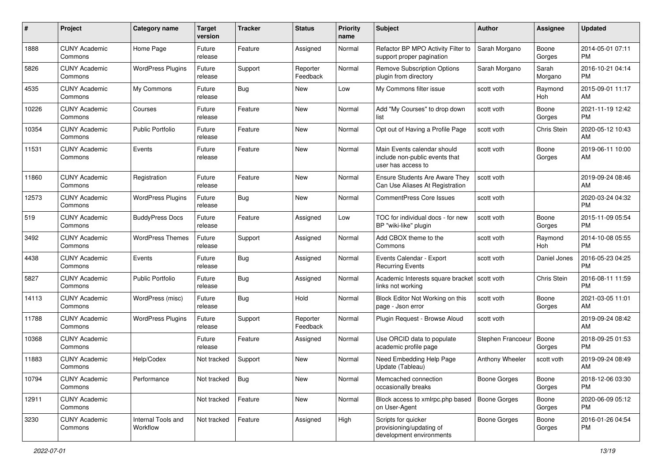| #     | Project                         | <b>Category name</b>           | <b>Target</b><br>version | <b>Tracker</b> | <b>Status</b>        | Priority<br>name | <b>Subject</b>                                                                      | Author              | <b>Assignee</b>  | <b>Updated</b>                |
|-------|---------------------------------|--------------------------------|--------------------------|----------------|----------------------|------------------|-------------------------------------------------------------------------------------|---------------------|------------------|-------------------------------|
| 1888  | <b>CUNY Academic</b><br>Commons | Home Page                      | Future<br>release        | Feature        | Assigned             | Normal           | Refactor BP MPO Activity Filter to<br>support proper pagination                     | Sarah Morgano       | Boone<br>Gorges  | 2014-05-01 07:11<br><b>PM</b> |
| 5826  | <b>CUNY Academic</b><br>Commons | <b>WordPress Plugins</b>       | Future<br>release        | Support        | Reporter<br>Feedback | Normal           | <b>Remove Subscription Options</b><br>plugin from directory                         | Sarah Morgano       | Sarah<br>Morgano | 2016-10-21 04:14<br><b>PM</b> |
| 4535  | <b>CUNY Academic</b><br>Commons | My Commons                     | Future<br>release        | Bug            | New                  | Low              | My Commons filter issue                                                             | scott voth          | Raymond<br>Hoh   | 2015-09-01 11:17<br>AM        |
| 10226 | <b>CUNY Academic</b><br>Commons | Courses                        | Future<br>release        | Feature        | New                  | Normal           | Add "My Courses" to drop down<br>list                                               | scott voth          | Boone<br>Gorges  | 2021-11-19 12:42<br><b>PM</b> |
| 10354 | <b>CUNY Academic</b><br>Commons | <b>Public Portfolio</b>        | Future<br>release        | Feature        | <b>New</b>           | Normal           | Opt out of Having a Profile Page                                                    | scott voth          | Chris Stein      | 2020-05-12 10:43<br>AM        |
| 11531 | <b>CUNY Academic</b><br>Commons | Events                         | Future<br>release        | Feature        | New                  | Normal           | Main Events calendar should<br>include non-public events that<br>user has access to | scott voth          | Boone<br>Gorges  | 2019-06-11 10:00<br>AM        |
| 11860 | <b>CUNY Academic</b><br>Commons | Registration                   | Future<br>release        | Feature        | New                  | Normal           | <b>Ensure Students Are Aware They</b><br>Can Use Aliases At Registration            | scott voth          |                  | 2019-09-24 08:46<br>AM        |
| 12573 | <b>CUNY Academic</b><br>Commons | <b>WordPress Plugins</b>       | Future<br>release        | Bug            | <b>New</b>           | Normal           | <b>CommentPress Core Issues</b>                                                     | scott voth          |                  | 2020-03-24 04:32<br><b>PM</b> |
| 519   | <b>CUNY Academic</b><br>Commons | <b>BuddyPress Docs</b>         | Future<br>release        | Feature        | Assigned             | Low              | TOC for individual docs - for new<br>BP "wiki-like" plugin                          | scott voth          | Boone<br>Gorges  | 2015-11-09 05:54<br><b>PM</b> |
| 3492  | <b>CUNY Academic</b><br>Commons | <b>WordPress Themes</b>        | Future<br>release        | Support        | Assigned             | Normal           | Add CBOX theme to the<br>Commons                                                    | scott voth          | Raymond<br>Hoh   | 2014-10-08 05:55<br><b>PM</b> |
| 4438  | <b>CUNY Academic</b><br>Commons | Events                         | Future<br>release        | Bug            | Assigned             | Normal           | Events Calendar - Export<br><b>Recurring Events</b>                                 | scott voth          | Daniel Jones     | 2016-05-23 04:25<br><b>PM</b> |
| 5827  | <b>CUNY Academic</b><br>Commons | <b>Public Portfolio</b>        | Future<br>release        | Bug            | Assigned             | Normal           | Academic Interests square bracket<br>links not working                              | l scott voth        | Chris Stein      | 2016-08-11 11:59<br><b>PM</b> |
| 14113 | <b>CUNY Academic</b><br>Commons | WordPress (misc)               | Future<br>release        | <b>Bug</b>     | Hold                 | Normal           | Block Editor Not Working on this<br>page - Json error                               | scott voth          | Boone<br>Gorges  | 2021-03-05 11:01<br>AM        |
| 11788 | <b>CUNY Academic</b><br>Commons | <b>WordPress Plugins</b>       | Future<br>release        | Support        | Reporter<br>Feedback | Normal           | Plugin Request - Browse Aloud                                                       | scott voth          |                  | 2019-09-24 08:42<br>AM        |
| 10368 | <b>CUNY Academic</b><br>Commons |                                | Future<br>release        | Feature        | Assigned             | Normal           | Use ORCID data to populate<br>academic profile page                                 | Stephen Francoeur   | Boone<br>Gorges  | 2018-09-25 01:53<br><b>PM</b> |
| 11883 | <b>CUNY Academic</b><br>Commons | Help/Codex                     | Not tracked              | Support        | New                  | Normal           | Need Embedding Help Page<br>Update (Tableau)                                        | Anthony Wheeler     | scott voth       | 2019-09-24 08:49<br>AM        |
| 10794 | <b>CUNY Academic</b><br>Commons | Performance                    | Not tracked              | Bug            | New                  | Normal           | Memcached connection<br>occasionally breaks                                         | <b>Boone Gorges</b> | Boone<br>Gorges  | 2018-12-06 03:30<br><b>PM</b> |
| 12911 | <b>CUNY Academic</b><br>Commons |                                | Not tracked              | Feature        | New                  | Normal           | Block access to xmlrpc.php based<br>on User-Agent                                   | Boone Gorges        | Boone<br>Gorges  | 2020-06-09 05:12<br><b>PM</b> |
| 3230  | <b>CUNY Academic</b><br>Commons | Internal Tools and<br>Workflow | Not tracked              | Feature        | Assigned             | High             | Scripts for quicker<br>provisioning/updating of<br>development environments         | <b>Boone Gorges</b> | Boone<br>Gorges  | 2016-01-26 04:54<br><b>PM</b> |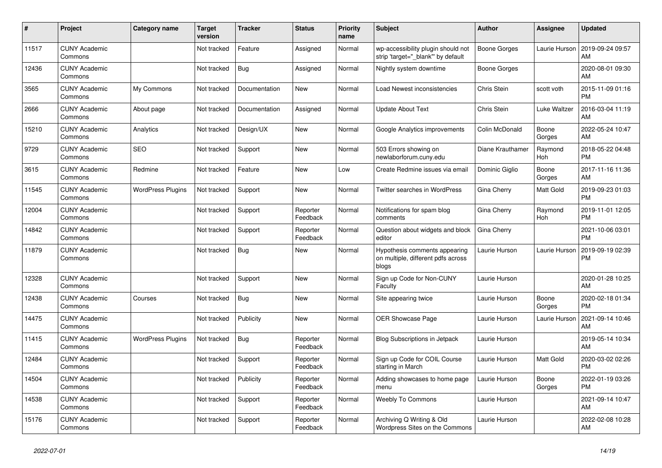| #     | <b>Project</b>                  | <b>Category name</b>     | <b>Target</b><br>version | <b>Tracker</b> | <b>Status</b>        | <b>Priority</b><br>name | <b>Subject</b>                                                               | <b>Author</b>    | Assignee        | <b>Updated</b>                |
|-------|---------------------------------|--------------------------|--------------------------|----------------|----------------------|-------------------------|------------------------------------------------------------------------------|------------------|-----------------|-------------------------------|
| 11517 | <b>CUNY Academic</b><br>Commons |                          | Not tracked              | Feature        | Assigned             | Normal                  | wp-accessibility plugin should not<br>strip 'target=" blank" by default      | Boone Gorges     | Laurie Hurson   | 2019-09-24 09:57<br>AM        |
| 12436 | <b>CUNY Academic</b><br>Commons |                          | Not tracked              | <b>Bug</b>     | Assigned             | Normal                  | Nightly system downtime                                                      | Boone Gorges     |                 | 2020-08-01 09:30<br>AM        |
| 3565  | <b>CUNY Academic</b><br>Commons | My Commons               | Not tracked              | Documentation  | New                  | Normal                  | Load Newest inconsistencies                                                  | Chris Stein      | scott voth      | 2015-11-09 01:16<br><b>PM</b> |
| 2666  | <b>CUNY Academic</b><br>Commons | About page               | Not tracked              | Documentation  | Assigned             | Normal                  | <b>Update About Text</b>                                                     | Chris Stein      | Luke Waltzer    | 2016-03-04 11:19<br>AM        |
| 15210 | <b>CUNY Academic</b><br>Commons | Analytics                | Not tracked              | Design/UX      | New                  | Normal                  | Google Analytics improvements                                                | Colin McDonald   | Boone<br>Gorges | 2022-05-24 10:47<br>AM        |
| 9729  | <b>CUNY Academic</b><br>Commons | <b>SEO</b>               | Not tracked              | Support        | New                  | Normal                  | 503 Errors showing on<br>newlaborforum.cuny.edu                              | Diane Krauthamer | Raymond<br>Hoh  | 2018-05-22 04:48<br><b>PM</b> |
| 3615  | <b>CUNY Academic</b><br>Commons | Redmine                  | Not tracked              | Feature        | <b>New</b>           | Low                     | Create Redmine issues via email                                              | Dominic Giglio   | Boone<br>Gorges | 2017-11-16 11:36<br>AM        |
| 11545 | <b>CUNY Academic</b><br>Commons | <b>WordPress Plugins</b> | Not tracked              | Support        | <b>New</b>           | Normal                  | <b>Twitter searches in WordPress</b>                                         | Gina Cherry      | Matt Gold       | 2019-09-23 01:03<br><b>PM</b> |
| 12004 | <b>CUNY Academic</b><br>Commons |                          | Not tracked              | Support        | Reporter<br>Feedback | Normal                  | Notifications for spam blog<br>comments                                      | Gina Cherry      | Raymond<br>Hoh  | 2019-11-01 12:05<br><b>PM</b> |
| 14842 | <b>CUNY Academic</b><br>Commons |                          | Not tracked              | Support        | Reporter<br>Feedback | Normal                  | Question about widgets and block<br>editor                                   | Gina Cherry      |                 | 2021-10-06 03:01<br><b>PM</b> |
| 11879 | <b>CUNY Academic</b><br>Commons |                          | Not tracked              | Bug            | <b>New</b>           | Normal                  | Hypothesis comments appearing<br>on multiple, different pdfs across<br>blogs | Laurie Hurson    | Laurie Hurson   | 2019-09-19 02:39<br><b>PM</b> |
| 12328 | <b>CUNY Academic</b><br>Commons |                          | Not tracked              | Support        | New                  | Normal                  | Sign up Code for Non-CUNY<br>Faculty                                         | Laurie Hurson    |                 | 2020-01-28 10:25<br>AM        |
| 12438 | <b>CUNY Academic</b><br>Commons | Courses                  | Not tracked              | Bug            | <b>New</b>           | Normal                  | Site appearing twice                                                         | Laurie Hurson    | Boone<br>Gorges | 2020-02-18 01:34<br><b>PM</b> |
| 14475 | <b>CUNY Academic</b><br>Commons |                          | Not tracked              | Publicity      | New                  | Normal                  | OER Showcase Page                                                            | Laurie Hurson    | Laurie Hurson   | 2021-09-14 10:46<br>AM        |
| 11415 | <b>CUNY Academic</b><br>Commons | <b>WordPress Plugins</b> | Not tracked              | Bug            | Reporter<br>Feedback | Normal                  | <b>Blog Subscriptions in Jetpack</b>                                         | Laurie Hurson    |                 | 2019-05-14 10:34<br>AM        |
| 12484 | <b>CUNY Academic</b><br>Commons |                          | Not tracked              | Support        | Reporter<br>Feedback | Normal                  | Sign up Code for COIL Course<br>starting in March                            | Laurie Hurson    | Matt Gold       | 2020-03-02 02:26<br><b>PM</b> |
| 14504 | <b>CUNY Academic</b><br>Commons |                          | Not tracked              | Publicity      | Reporter<br>Feedback | Normal                  | Adding showcases to home page<br>menu                                        | Laurie Hurson    | Boone<br>Gorges | 2022-01-19 03:26<br><b>PM</b> |
| 14538 | <b>CUNY Academic</b><br>Commons |                          | Not tracked              | Support        | Reporter<br>Feedback | Normal                  | <b>Weebly To Commons</b>                                                     | Laurie Hurson    |                 | 2021-09-14 10:47<br>AM        |
| 15176 | <b>CUNY Academic</b><br>Commons |                          | Not tracked              | Support        | Reporter<br>Feedback | Normal                  | Archiving Q Writing & Old<br>Wordpress Sites on the Commons                  | Laurie Hurson    |                 | 2022-02-08 10:28<br>AM        |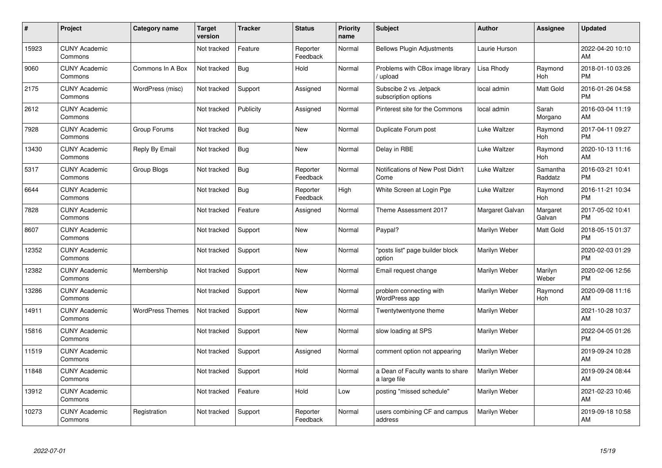| #     | Project                         | <b>Category name</b>    | <b>Target</b><br>version | <b>Tracker</b> | <b>Status</b>        | <b>Priority</b><br>name | <b>Subject</b>                                   | <b>Author</b>   | <b>Assignee</b>     | <b>Updated</b>                |
|-------|---------------------------------|-------------------------|--------------------------|----------------|----------------------|-------------------------|--------------------------------------------------|-----------------|---------------------|-------------------------------|
| 15923 | <b>CUNY Academic</b><br>Commons |                         | Not tracked              | Feature        | Reporter<br>Feedback | Normal                  | <b>Bellows Plugin Adjustments</b>                | Laurie Hurson   |                     | 2022-04-20 10:10<br>AM        |
| 9060  | <b>CUNY Academic</b><br>Commons | Commons In A Box        | Not tracked              | Bug            | Hold                 | Normal                  | Problems with CBox image library<br>upload       | Lisa Rhody      | Raymond<br>Hoh      | 2018-01-10 03:26<br><b>PM</b> |
| 2175  | <b>CUNY Academic</b><br>Commons | WordPress (misc)        | Not tracked              | Support        | Assigned             | Normal                  | Subscibe 2 vs. Jetpack<br>subscription options   | local admin     | Matt Gold           | 2016-01-26 04:58<br><b>PM</b> |
| 2612  | <b>CUNY Academic</b><br>Commons |                         | Not tracked              | Publicity      | Assigned             | Normal                  | Pinterest site for the Commons                   | local admin     | Sarah<br>Morgano    | 2016-03-04 11:19<br>AM        |
| 7928  | <b>CUNY Academic</b><br>Commons | Group Forums            | Not tracked              | Bug            | <b>New</b>           | Normal                  | Duplicate Forum post                             | Luke Waltzer    | Raymond<br>Hoh      | 2017-04-11 09:27<br><b>PM</b> |
| 13430 | <b>CUNY Academic</b><br>Commons | Reply By Email          | Not tracked              | <b>Bug</b>     | <b>New</b>           | Normal                  | Delay in RBE                                     | Luke Waltzer    | Raymond<br>Hoh      | 2020-10-13 11:16<br>AM        |
| 5317  | <b>CUNY Academic</b><br>Commons | Group Blogs             | Not tracked              | Bug            | Reporter<br>Feedback | Normal                  | Notifications of New Post Didn't<br>Come         | Luke Waltzer    | Samantha<br>Raddatz | 2016-03-21 10:41<br><b>PM</b> |
| 6644  | <b>CUNY Academic</b><br>Commons |                         | Not tracked              | <b>Bug</b>     | Reporter<br>Feedback | High                    | White Screen at Login Pge                        | Luke Waltzer    | Raymond<br>Hoh      | 2016-11-21 10:34<br><b>PM</b> |
| 7828  | <b>CUNY Academic</b><br>Commons |                         | Not tracked              | Feature        | Assigned             | Normal                  | Theme Assessment 2017                            | Margaret Galvan | Margaret<br>Galvan  | 2017-05-02 10:41<br><b>PM</b> |
| 8607  | <b>CUNY Academic</b><br>Commons |                         | Not tracked              | Support        | New                  | Normal                  | Paypal?                                          | Marilyn Weber   | Matt Gold           | 2018-05-15 01:37<br><b>PM</b> |
| 12352 | <b>CUNY Academic</b><br>Commons |                         | Not tracked              | Support        | <b>New</b>           | Normal                  | "posts list" page builder block<br>option        | Marilyn Weber   |                     | 2020-02-03 01:29<br><b>PM</b> |
| 12382 | <b>CUNY Academic</b><br>Commons | Membership              | Not tracked              | Support        | <b>New</b>           | Normal                  | Email request change                             | Marilyn Weber   | Marilyn<br>Weber    | 2020-02-06 12:56<br><b>PM</b> |
| 13286 | <b>CUNY Academic</b><br>Commons |                         | Not tracked              | Support        | <b>New</b>           | Normal                  | problem connecting with<br>WordPress app         | Marilyn Weber   | Raymond<br>Hoh      | 2020-09-08 11:16<br>AM        |
| 14911 | <b>CUNY Academic</b><br>Commons | <b>WordPress Themes</b> | Not tracked              | Support        | <b>New</b>           | Normal                  | Twentytwentyone theme                            | Marilyn Weber   |                     | 2021-10-28 10:37<br>AM        |
| 15816 | <b>CUNY Academic</b><br>Commons |                         | Not tracked              | Support        | <b>New</b>           | Normal                  | slow loading at SPS                              | Marilyn Weber   |                     | 2022-04-05 01:26<br><b>PM</b> |
| 11519 | <b>CUNY Academic</b><br>Commons |                         | Not tracked              | Support        | Assigned             | Normal                  | comment option not appearing                     | Marilyn Weber   |                     | 2019-09-24 10:28<br>AM        |
| 11848 | <b>CUNY Academic</b><br>Commons |                         | Not tracked              | Support        | Hold                 | Normal                  | a Dean of Faculty wants to share<br>a large file | Marilyn Weber   |                     | 2019-09-24 08:44<br>AM        |
| 13912 | <b>CUNY Academic</b><br>Commons |                         | Not tracked              | Feature        | Hold                 | Low                     | posting "missed schedule"                        | Marilyn Weber   |                     | 2021-02-23 10:46<br>AM        |
| 10273 | <b>CUNY Academic</b><br>Commons | Registration            | Not tracked              | Support        | Reporter<br>Feedback | Normal                  | users combining CF and campus<br>address         | Marilyn Weber   |                     | 2019-09-18 10:58<br>AM        |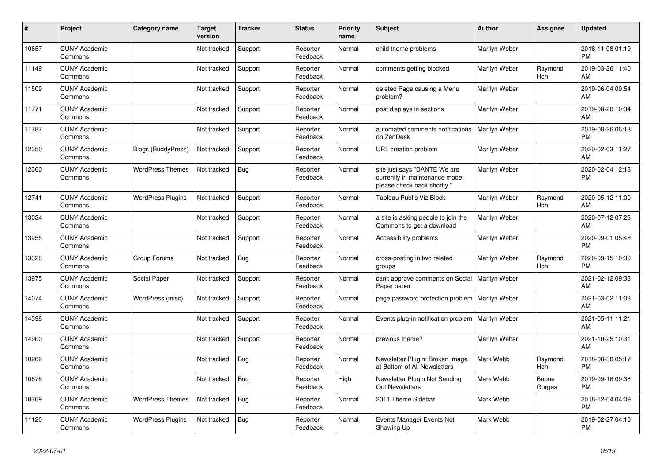| #     | Project                         | <b>Category name</b>      | <b>Target</b><br>version | <b>Tracker</b> | <b>Status</b>        | <b>Priority</b><br>name | <b>Subject</b>                                                                                | <b>Author</b>        | Assignee        | <b>Updated</b>                |
|-------|---------------------------------|---------------------------|--------------------------|----------------|----------------------|-------------------------|-----------------------------------------------------------------------------------------------|----------------------|-----------------|-------------------------------|
| 10657 | <b>CUNY Academic</b><br>Commons |                           | Not tracked              | Support        | Reporter<br>Feedback | Normal                  | child theme problems                                                                          | Marilyn Weber        |                 | 2018-11-08 01:19<br><b>PM</b> |
| 11149 | <b>CUNY Academic</b><br>Commons |                           | Not tracked              | Support        | Reporter<br>Feedback | Normal                  | comments getting blocked                                                                      | Marilyn Weber        | Raymond<br>Hoh  | 2019-03-26 11:40<br>AM        |
| 11509 | <b>CUNY Academic</b><br>Commons |                           | Not tracked              | Support        | Reporter<br>Feedback | Normal                  | deleted Page causing a Menu<br>problem?                                                       | Marilyn Weber        |                 | 2019-06-04 09:54<br>AM        |
| 11771 | <b>CUNY Academic</b><br>Commons |                           | Not tracked              | Support        | Reporter<br>Feedback | Normal                  | post displays in sections                                                                     | Marilyn Weber        |                 | 2019-08-20 10:34<br>AM        |
| 11787 | <b>CUNY Academic</b><br>Commons |                           | Not tracked              | Support        | Reporter<br>Feedback | Normal                  | automated comments notifications<br>on ZenDesk                                                | <b>Marilyn Weber</b> |                 | 2019-08-26 06:18<br><b>PM</b> |
| 12350 | <b>CUNY Academic</b><br>Commons | <b>Blogs (BuddyPress)</b> | Not tracked              | Support        | Reporter<br>Feedback | Normal                  | URL creation problem                                                                          | Marilyn Weber        |                 | 2020-02-03 11:27<br>AM        |
| 12360 | <b>CUNY Academic</b><br>Commons | <b>WordPress Themes</b>   | Not tracked              | Bug            | Reporter<br>Feedback | Normal                  | site just says "DANTE We are<br>currently in maintenance mode,<br>please check back shortly." | Marilyn Weber        |                 | 2020-02-04 12:13<br><b>PM</b> |
| 12741 | <b>CUNY Academic</b><br>Commons | <b>WordPress Plugins</b>  | Not tracked              | Support        | Reporter<br>Feedback | Normal                  | Tableau Public Viz Block                                                                      | Marilyn Weber        | Raymond<br>Hoh  | 2020-05-12 11:00<br>AM        |
| 13034 | <b>CUNY Academic</b><br>Commons |                           | Not tracked              | Support        | Reporter<br>Feedback | Normal                  | a site is asking people to join the<br>Commons to get a download                              | Marilyn Weber        |                 | 2020-07-12 07:23<br>AM        |
| 13255 | <b>CUNY Academic</b><br>Commons |                           | Not tracked              | Support        | Reporter<br>Feedback | Normal                  | Accessibility problems                                                                        | Marilyn Weber        |                 | 2020-09-01 05:48<br><b>PM</b> |
| 13328 | <b>CUNY Academic</b><br>Commons | Group Forums              | Not tracked              | Bug            | Reporter<br>Feedback | Normal                  | cross-posting in two related<br>groups                                                        | Marilyn Weber        | Raymond<br>Hoh  | 2020-09-15 10:39<br><b>PM</b> |
| 13975 | <b>CUNY Academic</b><br>Commons | Social Paper              | Not tracked              | Support        | Reporter<br>Feedback | Normal                  | can't approve comments on Social<br>Paper paper                                               | Marilyn Weber        |                 | 2021-02-12 09:33<br>AM        |
| 14074 | <b>CUNY Academic</b><br>Commons | WordPress (misc)          | Not tracked              | Support        | Reporter<br>Feedback | Normal                  | page password protection problem                                                              | Marilyn Weber        |                 | 2021-03-02 11:03<br>AM        |
| 14398 | <b>CUNY Academic</b><br>Commons |                           | Not tracked              | Support        | Reporter<br>Feedback | Normal                  | Events plug-in notification problem                                                           | Marilyn Weber        |                 | 2021-05-11 11:21<br>AM        |
| 14900 | <b>CUNY Academic</b><br>Commons |                           | Not tracked              | Support        | Reporter<br>Feedback | Normal                  | previous theme?                                                                               | Marilyn Weber        |                 | 2021-10-25 10:31<br>AM        |
| 10262 | <b>CUNY Academic</b><br>Commons |                           | Not tracked              | Bug            | Reporter<br>Feedback | Normal                  | Newsletter Plugin: Broken Image<br>at Bottom of All Newsletters                               | Mark Webb            | Raymond<br>Hoh  | 2018-08-30 05:17<br><b>PM</b> |
| 10678 | <b>CUNY Academic</b><br>Commons |                           | Not tracked              | Bug            | Reporter<br>Feedback | High                    | Newsletter Plugin Not Sending<br><b>Out Newsletters</b>                                       | Mark Webb            | Boone<br>Gorges | 2019-09-16 09:38<br><b>PM</b> |
| 10769 | <b>CUNY Academic</b><br>Commons | <b>WordPress Themes</b>   | Not tracked              | <b>Bug</b>     | Reporter<br>Feedback | Normal                  | 2011 Theme Sidebar                                                                            | Mark Webb            |                 | 2018-12-04 04:09<br><b>PM</b> |
| 11120 | <b>CUNY Academic</b><br>Commons | <b>WordPress Plugins</b>  | Not tracked              | Bug            | Reporter<br>Feedback | Normal                  | Events Manager Events Not<br>Showing Up                                                       | Mark Webb            |                 | 2019-02-27 04:10<br><b>PM</b> |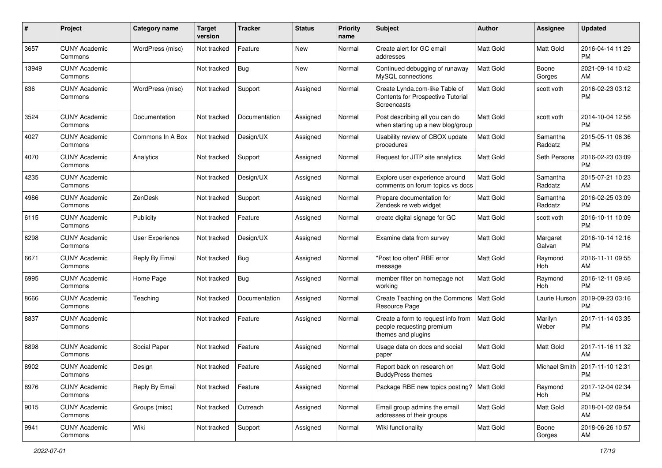| #     | Project                         | <b>Category name</b> | <b>Target</b><br>version | <b>Tracker</b> | <b>Status</b> | <b>Priority</b><br>name | <b>Subject</b>                                                                        | Author           | <b>Assignee</b>     | <b>Updated</b>                         |
|-------|---------------------------------|----------------------|--------------------------|----------------|---------------|-------------------------|---------------------------------------------------------------------------------------|------------------|---------------------|----------------------------------------|
| 3657  | <b>CUNY Academic</b><br>Commons | WordPress (misc)     | Not tracked              | Feature        | <b>New</b>    | Normal                  | Create alert for GC email<br>addresses                                                | <b>Matt Gold</b> | Matt Gold           | 2016-04-14 11:29<br><b>PM</b>          |
| 13949 | <b>CUNY Academic</b><br>Commons |                      | Not tracked              | Bug            | New           | Normal                  | Continued debugging of runaway<br>MySQL connections                                   | <b>Matt Gold</b> | Boone<br>Gorges     | 2021-09-14 10:42<br>AM                 |
| 636   | <b>CUNY Academic</b><br>Commons | WordPress (misc)     | Not tracked              | Support        | Assigned      | Normal                  | Create Lynda.com-like Table of<br>Contents for Prospective Tutorial<br>Screencasts    | <b>Matt Gold</b> | scott voth          | 2016-02-23 03:12<br><b>PM</b>          |
| 3524  | <b>CUNY Academic</b><br>Commons | Documentation        | Not tracked              | Documentation  | Assigned      | Normal                  | Post describing all you can do<br>when starting up a new blog/group                   | Matt Gold        | scott voth          | 2014-10-04 12:56<br><b>PM</b>          |
| 4027  | <b>CUNY Academic</b><br>Commons | Commons In A Box     | Not tracked              | Design/UX      | Assigned      | Normal                  | Usability review of CBOX update<br>procedures                                         | Matt Gold        | Samantha<br>Raddatz | 2015-05-11 06:36<br><b>PM</b>          |
| 4070  | <b>CUNY Academic</b><br>Commons | Analytics            | Not tracked              | Support        | Assigned      | Normal                  | Request for JITP site analytics                                                       | <b>Matt Gold</b> | Seth Persons        | 2016-02-23 03:09<br><b>PM</b>          |
| 4235  | <b>CUNY Academic</b><br>Commons |                      | Not tracked              | Design/UX      | Assigned      | Normal                  | Explore user experience around<br>comments on forum topics vs docs                    | Matt Gold        | Samantha<br>Raddatz | 2015-07-21 10:23<br>AM                 |
| 4986  | <b>CUNY Academic</b><br>Commons | ZenDesk              | Not tracked              | Support        | Assigned      | Normal                  | Prepare documentation for<br>Zendesk re web widget                                    | Matt Gold        | Samantha<br>Raddatz | 2016-02-25 03:09<br><b>PM</b>          |
| 6115  | <b>CUNY Academic</b><br>Commons | Publicity            | Not tracked              | Feature        | Assigned      | Normal                  | create digital signage for GC                                                         | Matt Gold        | scott voth          | 2016-10-11 10:09<br><b>PM</b>          |
| 6298  | <b>CUNY Academic</b><br>Commons | User Experience      | Not tracked              | Design/UX      | Assigned      | Normal                  | Examine data from survey                                                              | <b>Matt Gold</b> | Margaret<br>Galvan  | 2016-10-14 12:16<br><b>PM</b>          |
| 6671  | <b>CUNY Academic</b><br>Commons | Reply By Email       | Not tracked              | <b>Bug</b>     | Assigned      | Normal                  | 'Post too often" RBE error<br>message                                                 | Matt Gold        | Raymond<br>Hoh      | 2016-11-11 09:55<br>AM                 |
| 6995  | <b>CUNY Academic</b><br>Commons | Home Page            | Not tracked              | Bug            | Assigned      | Normal                  | member filter on homepage not<br>working                                              | Matt Gold        | Raymond<br>Hoh      | 2016-12-11 09:46<br><b>PM</b>          |
| 8666  | <b>CUNY Academic</b><br>Commons | Teaching             | Not tracked              | Documentation  | Assigned      | Normal                  | Create Teaching on the Commons<br>Resource Page                                       | Matt Gold        | Laurie Hurson       | 2019-09-23 03:16<br><b>PM</b>          |
| 8837  | <b>CUNY Academic</b><br>Commons |                      | Not tracked              | Feature        | Assigned      | Normal                  | Create a form to request info from<br>people requesting premium<br>themes and plugins | <b>Matt Gold</b> | Marilyn<br>Weber    | 2017-11-14 03:35<br><b>PM</b>          |
| 8898  | <b>CUNY Academic</b><br>Commons | Social Paper         | Not tracked              | Feature        | Assigned      | Normal                  | Usage data on docs and social<br>paper                                                | <b>Matt Gold</b> | <b>Matt Gold</b>    | 2017-11-16 11:32<br>AM                 |
| 8902  | <b>CUNY Academic</b><br>Commons | Design               | Not tracked              | Feature        | Assigned      | Normal                  | Report back on research on<br><b>BuddyPress themes</b>                                | Matt Gold        |                     | Michael Smith   2017-11-10 12:31<br>PM |
| 8976  | <b>CUNY Academic</b><br>Commons | Reply By Email       | Not tracked              | Feature        | Assigned      | Normal                  | Package RBE new topics posting?   Matt Gold                                           |                  | Raymond<br>Hoh      | 2017-12-04 02:34<br><b>PM</b>          |
| 9015  | <b>CUNY Academic</b><br>Commons | Groups (misc)        | Not tracked              | Outreach       | Assigned      | Normal                  | Email group admins the email<br>addresses of their groups                             | Matt Gold        | Matt Gold           | 2018-01-02 09:54<br>AM                 |
| 9941  | <b>CUNY Academic</b><br>Commons | Wiki                 | Not tracked              | Support        | Assigned      | Normal                  | Wiki functionality                                                                    | Matt Gold        | Boone<br>Gorges     | 2018-06-26 10:57<br>AM                 |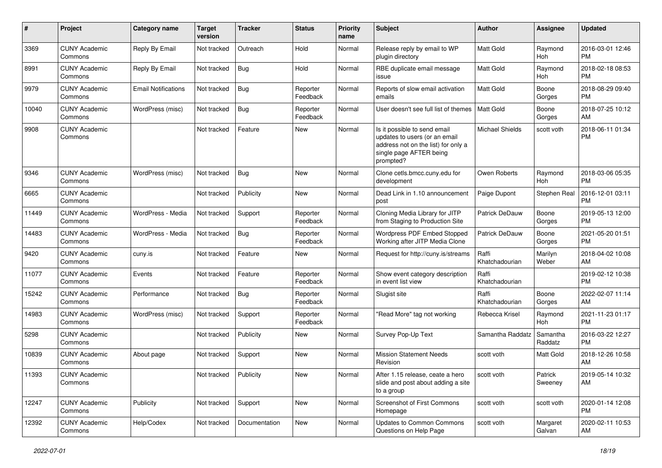| #     | Project                         | Category name              | <b>Target</b><br>version | Tracker       | <b>Status</b>        | <b>Priority</b><br>name | <b>Subject</b>                                                                                                                               | Author                  | <b>Assignee</b>     | <b>Updated</b>                |
|-------|---------------------------------|----------------------------|--------------------------|---------------|----------------------|-------------------------|----------------------------------------------------------------------------------------------------------------------------------------------|-------------------------|---------------------|-------------------------------|
| 3369  | <b>CUNY Academic</b><br>Commons | Reply By Email             | Not tracked              | Outreach      | Hold                 | Normal                  | Release reply by email to WP<br>plugin directory                                                                                             | <b>Matt Gold</b>        | Raymond<br>Hoh      | 2016-03-01 12:46<br><b>PM</b> |
| 8991  | <b>CUNY Academic</b><br>Commons | Reply By Email             | Not tracked              | Bug           | Hold                 | Normal                  | RBE duplicate email message<br>issue                                                                                                         | <b>Matt Gold</b>        | Raymond<br>Hoh      | 2018-02-18 08:53<br><b>PM</b> |
| 9979  | <b>CUNY Academic</b><br>Commons | <b>Email Notifications</b> | Not tracked              | Bug           | Reporter<br>Feedback | Normal                  | Reports of slow email activation<br>emails                                                                                                   | Matt Gold               | Boone<br>Gorges     | 2018-08-29 09:40<br><b>PM</b> |
| 10040 | <b>CUNY Academic</b><br>Commons | WordPress (misc)           | Not tracked              | Bug           | Reporter<br>Feedback | Normal                  | User doesn't see full list of themes                                                                                                         | Matt Gold               | Boone<br>Gorges     | 2018-07-25 10:12<br>AM        |
| 9908  | <b>CUNY Academic</b><br>Commons |                            | Not tracked              | Feature       | New                  | Normal                  | Is it possible to send email<br>updates to users (or an email<br>address not on the list) for only a<br>single page AFTER being<br>prompted? | <b>Michael Shields</b>  | scott voth          | 2018-06-11 01:34<br><b>PM</b> |
| 9346  | <b>CUNY Academic</b><br>Commons | WordPress (misc)           | Not tracked              | Bug           | <b>New</b>           | Normal                  | Clone cetls.bmcc.cuny.edu for<br>development                                                                                                 | Owen Roberts            | Raymond<br>Hoh      | 2018-03-06 05:35<br><b>PM</b> |
| 6665  | <b>CUNY Academic</b><br>Commons |                            | Not tracked              | Publicity     | <b>New</b>           | Normal                  | Dead Link in 1.10 announcement<br>post                                                                                                       | Paige Dupont            | Stephen Real        | 2016-12-01 03:11<br><b>PM</b> |
| 11449 | <b>CUNY Academic</b><br>Commons | WordPress - Media          | Not tracked              | Support       | Reporter<br>Feedback | Normal                  | Cloning Media Library for JITP<br>from Staging to Production Site                                                                            | Patrick DeDauw          | Boone<br>Gorges     | 2019-05-13 12:00<br><b>PM</b> |
| 14483 | <b>CUNY Academic</b><br>Commons | WordPress - Media          | Not tracked              | Bug           | Reporter<br>Feedback | Normal                  | Wordpress PDF Embed Stopped<br>Working after JITP Media Clone                                                                                | Patrick DeDauw          | Boone<br>Gorges     | 2021-05-20 01:51<br><b>PM</b> |
| 9420  | <b>CUNY Academic</b><br>Commons | cuny.is                    | Not tracked              | Feature       | New                  | Normal                  | Request for http://cuny.is/streams                                                                                                           | Raffi<br>Khatchadourian | Marilyn<br>Weber    | 2018-04-02 10:08<br>AM        |
| 11077 | <b>CUNY Academic</b><br>Commons | Events                     | Not tracked              | Feature       | Reporter<br>Feedback | Normal                  | Show event category description<br>in event list view                                                                                        | Raffi<br>Khatchadourian |                     | 2019-02-12 10:38<br><b>PM</b> |
| 15242 | <b>CUNY Academic</b><br>Commons | Performance                | Not tracked              | Bug           | Reporter<br>Feedback | Normal                  | Slugist site                                                                                                                                 | Raffi<br>Khatchadourian | Boone<br>Gorges     | 2022-02-07 11:14<br>AM        |
| 14983 | <b>CUNY Academic</b><br>Commons | WordPress (misc)           | Not tracked              | Support       | Reporter<br>Feedback | Normal                  | 'Read More" tag not working                                                                                                                  | Rebecca Krisel          | Raymond<br>Hoh      | 2021-11-23 01:17<br><b>PM</b> |
| 5298  | <b>CUNY Academic</b><br>Commons |                            | Not tracked              | Publicity     | New                  | Normal                  | Survey Pop-Up Text                                                                                                                           | Samantha Raddatz        | Samantha<br>Raddatz | 2016-03-22 12:27<br><b>PM</b> |
| 10839 | <b>CUNY Academic</b><br>Commons | About page                 | Not tracked              | Support       | <b>New</b>           | Normal                  | <b>Mission Statement Needs</b><br>Revision                                                                                                   | scott voth              | <b>Matt Gold</b>    | 2018-12-26 10:58<br>AM        |
| 11393 | <b>CUNY Academic</b><br>Commons |                            | Not tracked Publicity    |               | New                  | Normal                  | After 1.15 release, ceate a hero<br>slide and post about adding a site<br>to a group                                                         | scott voth              | Patrick<br>Sweeney  | 2019-05-14 10:32<br>AM        |
| 12247 | <b>CUNY Academic</b><br>Commons | Publicity                  | Not tracked              | Support       | New                  | Normal                  | Screenshot of First Commons<br>Homepage                                                                                                      | scott voth              | scott voth          | 2020-01-14 12:08<br><b>PM</b> |
| 12392 | <b>CUNY Academic</b><br>Commons | Help/Codex                 | Not tracked              | Documentation | New                  | Normal                  | Updates to Common Commons<br>Questions on Help Page                                                                                          | scott voth              | Margaret<br>Galvan  | 2020-02-11 10:53<br>AM        |